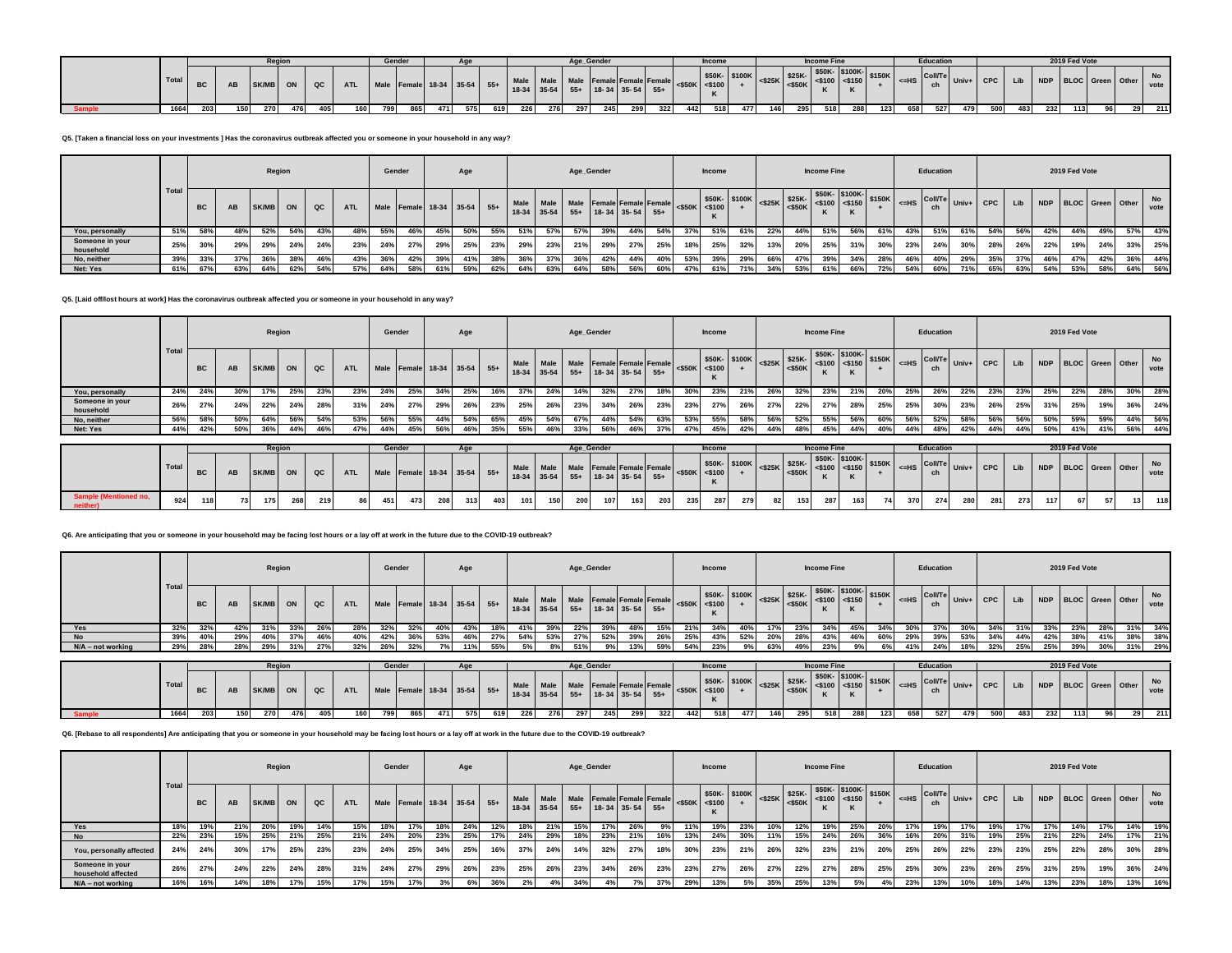|  |       |     |     | Reaio       |     |             |            | Gende                          |     |     |     |     |             |     | Age Gende |                                                                                                                                                                                                                                                       |     |     |     | <b>Income</b> |     |     |     | Income Fin                                                                                          |     |        |     | Educatio                                                                                                                               |            |            |     |     | 2019 Fed Vote |                      |                   |     |
|--|-------|-----|-----|-------------|-----|-------------|------------|--------------------------------|-----|-----|-----|-----|-------------|-----|-----------|-------------------------------------------------------------------------------------------------------------------------------------------------------------------------------------------------------------------------------------------------------|-----|-----|-----|---------------|-----|-----|-----|-----------------------------------------------------------------------------------------------------|-----|--------|-----|----------------------------------------------------------------------------------------------------------------------------------------|------------|------------|-----|-----|---------------|----------------------|-------------------|-----|
|  | Total | DU. |     | <b>SK/N</b> |     | $_{\alpha}$ | <b>ATL</b> | Male Female 18-34 35-54 55+ Ma |     |     |     |     | 18-34 35-54 |     | $55+$     | $\frac{1}{2}$ Male Female Female Female <\$50K \efficing \efficing \efficiency \efficiency \efficiency \efficiency \efficiency \efficiency \efficiency \efficiency \efficiency \efficiency \efficiency \efficiency \efficiency \ef<br>18-34 35-54 55+ |     |     |     |               |     |     |     | \$50K-\$100K-<br>$ \text{<}$ \$25K $ \text{''}$ <sub>650K</sub> $ \text{<}$ \$100 $ \text{<}$ \$150 |     | \$150K |     | $\overline{S}$ $\overline{S}$ $\overline{S}$ $\overline{C}$ $\overline{O}$ $\overline{O}$ $\overline{O}$ $\overline{O}$ $\overline{O}$ | $Univ + 1$ | <b>CPC</b> | Lib |     |               | NDP BLOC Green Other | <b>No</b><br>vote |     |
|  | 1664  | 203 | 150 | 270         | 476 |             | 405<br>160 | 799                            | 865 | 471 | 575 | 619 | 226         | 276 | 297       | 245                                                                                                                                                                                                                                                   | 299 | 322 | 442 | 518           | 477 | 146 | 295 | 518                                                                                                 | 288 | 123    | 658 | 527                                                                                                                                    | 479        | 500        | 483 | 232 | 113           |                      |                   | 211 |

**Q5. [Taken a financial loss on your investments ] Has the coronavirus outbreak affected you or someone in your household in any way?**

|                              |                    |           |     |          | Region |     |            | Gender |                             |     | Age |       |               |           |     | Age_Gender                                         |     |     |                      | <b>Income</b> |                                                                                                                                                                                                                 |     |     | <b>Income Fine</b> |     |     |     | Education                                                   |     |            |     |     | 2019 Fed Vote        |     |     |                   |
|------------------------------|--------------------|-----------|-----|----------|--------|-----|------------|--------|-----------------------------|-----|-----|-------|---------------|-----------|-----|----------------------------------------------------|-----|-----|----------------------|---------------|-----------------------------------------------------------------------------------------------------------------------------------------------------------------------------------------------------------------|-----|-----|--------------------|-----|-----|-----|-------------------------------------------------------------|-----|------------|-----|-----|----------------------|-----|-----|-------------------|
|                              | <sup>1</sup> Total | <b>BC</b> | AB  | SK/MB ON |        | QC  | <b>ATL</b> |        | Male Female 18-34 35-54 55+ |     |     |       | $18-34$ 35-54 | Male Male |     | Male Female Female Female<br>$55+$ 18-34 35-54 55+ |     |     | $<$ \$50K $ $ <\$100 |               | $\begin{array}{c c c c c c c c c} \hline \text{0.525K} & \text{0.525K} & \text{0.550K} & \text{0.550K} \\ \hline \text{0.525K} & & & \text{0.550K} & \text{0.550K} & \text{0.550K} \end{array}$<br>\$50K-\$100K |     |     |                    |     |     |     | $\left  \right $ $\leq$ HS $\left $ Coll/Te $\right $ Univ+ |     | <b>CPC</b> | Lib |     | NDP BLOC Green Other |     |     | <b>No</b><br>vote |
| You, personally              | 51%                | 58%       | 48% | 52%      | 54%    | 43% |            | 55%    | 46%                         | 45% | 50% | - 55% | 51%           | 57%       | 57% | 39%                                                | 44% | 54% | -37%                 | 51%           | 61%                                                                                                                                                                                                             | 22% | 44% | 51%                | 56% | 61% | 43% | 51%                                                         | 61% | 54%        | 56% | 42% | 44%                  | 49% | 57% | 43%               |
| Someone in your<br>household | 25%                | 30%       | 29% | 29%      | 24%    | 24% | 23%        | 24%    | 27%                         | 29% | 25% | 23%   | 29%           | 23%       | 21% | 29%                                                | 27% | 25% | 18%                  | 25%           | 32%                                                                                                                                                                                                             | 13% | 20% | 25%                | 31% | 30% | 23% | 24%                                                         | 30% | 28%        | 26% | 22% | 19%                  | 24% | 33% | 25%               |
| No, neither                  | 39%                | 33%       |     |          | 38%    | 46% | 43%        | 36%    | 42%                         | 39% | 41% | 38%   | 36%           | 37%       | 36% | 42%                                                | 44% | 40% | 53%                  | 39%           | 29%                                                                                                                                                                                                             | 66% |     | 39%                | 34% | 28% | 46% | 40%                                                         | 29% | 35%        | 37% | 46% | 47%                  | 42% | 36% | 44%               |
| Net: Yes                     | 61%                | 67%       | 63% | 64%      | 62%    | 54% | 570        | 64%    | 58%                         | 61% | 59% | 62%   | 64%           | 63%       | 64% | 58%                                                | 56% | 60% | 47%                  | 61%           |                                                                                                                                                                                                                 | 34% | 53% | 61%                | 66% | 72% | 54% | 60%                                                         | 71% | 65%        | 63% | 54% | 53%                  | 58% | 64% | 56%               |

**Q5. [Laid off/lost hours at work] Has the coronavirus outbreak affected you or someone in your household in any way?**

|                              |       |           |           |       | Region |     |            |     | Gender |                             | Age |     |             |     |     | Age_Gender                                                 |     |     |     | Income              |                                                                                                                                                                                                                                                                                                                                                                                                                                                                                                                                                                                                                                                                                  |      |     | <b>Income Fine</b> |     |     |     | Education |     |                                            |     |     | 2019 Fed Vote        |     |     |            |
|------------------------------|-------|-----------|-----------|-------|--------|-----|------------|-----|--------|-----------------------------|-----|-----|-------------|-----|-----|------------------------------------------------------------|-----|-----|-----|---------------------|----------------------------------------------------------------------------------------------------------------------------------------------------------------------------------------------------------------------------------------------------------------------------------------------------------------------------------------------------------------------------------------------------------------------------------------------------------------------------------------------------------------------------------------------------------------------------------------------------------------------------------------------------------------------------------|------|-----|--------------------|-----|-----|-----|-----------|-----|--------------------------------------------|-----|-----|----------------------|-----|-----|------------|
|                              | Total | <b>BC</b> | <b>AB</b> | SK/MB | ON     | QC  | <b>ATL</b> |     |        | Male Female 18-34 35-54 55+ |     |     | 18-34 35-54 |     |     | Male Male Male Female Female Female<br>55+ 18-34 35-54 55+ |     |     |     | $<$ \$50K $<$ \$100 | $\left \left \left \left \left \left \right \right \right \right \right \right $ $\left \left \left \left \left \left \right \right \right \right \right $ $\left \left \left \left \left \left \left \right \right \right \right \right \right $ $\left \left \left \left \left \left \left \right \right \right \right \right \right $ $\left \left \left \left \left \left \left \left \right \right \right \right \right \right $ $\left \left \left \left \left \left \left \left \right \right \right \right \right \right $ $\left \left \left \left \left \left \left \left \right \right \right \right \right \right $ $\left \left \left \left \left$<br>\$50K- \$100K |      |     |                    |     |     |     |           |     | $\Big $ <=HS $\Big $ Coll/Te Univ+ CPC Lib |     |     | NDP BLOC Green Other |     |     | No<br>vote |
| You, personally              | 24%   | 24%       | 30%       |       | 25%    | 23% | 23%        | 24% | 25%    | 34%                         | 25% | 16% | 37%         | 24% | 14% | 32%                                                        | 27% | 18% | 30% | 23%                 | 21%                                                                                                                                                                                                                                                                                                                                                                                                                                                                                                                                                                                                                                                                              | -26% | 32% | 23%                | 21% | 20% | 25% | 26%       | 22% | 23%                                        | 23% | 25% | 22%                  | 28% | 30% | 28%        |
| Someone in your<br>household | 26%   | 27%       | 24%       | 22%   | 24%    | 28% | 31%        | 24% | 27%    | 29%                         | 26% | 23% | 25%         | 26% | 23% | 34%                                                        | 26% | 23% | 23% | 27%                 | 26%                                                                                                                                                                                                                                                                                                                                                                                                                                                                                                                                                                                                                                                                              | 27%  | 22% | 27%                | 28% | 25% | 25% | 30%       | 23% | 26%                                        | 25% | 31% | 25%                  | 19% | 36% | 24%        |
| No, neither                  | 56%   | 58%       | 50%       | 64%   | 56%    | 54% | 53%        | 56% | 55%    | 44%                         | 54% | 65% | 45%         | 54% | 67% | 44%                                                        | 54% | 63% | 53% | 55%                 | 58%                                                                                                                                                                                                                                                                                                                                                                                                                                                                                                                                                                                                                                                                              | 56%  | 52% | 55%                | 56% | 60% | 56% | 52%       | 58% | 56%                                        | 56% | 50% | 59%                  | 59% | 44% | 56%        |
| Net: Yes                     | 44%   | 42%       | 50%       | 36%   | 44%    | 46% |            | 44% | 45%    | 56%                         | 46% | 35% | 55%         | 46% | 33% | 56%                                                        | 46% | 37% | 47% | 45%                 | 42%                                                                                                                                                                                                                                                                                                                                                                                                                                                                                                                                                                                                                                                                              | 44%  |     | 45%                | 44% | 40% | 44% | 48%       | 42% | 44%                                        | 44% | 50% | 41%                  | 41% | 56% | 44%        |

|                       |       |                  |    | Regior   |     |     |                                                                                                                                    | Gender |      |     |     |     |     |     |     | Age Gender |     |     |     | Income |     |    |     | <b>Income Fine</b> |     |    |     | <b>Education</b> |                                                                                                                                       |     |     |     | 2019 Fed Vote |                      |             |
|-----------------------|-------|------------------|----|----------|-----|-----|------------------------------------------------------------------------------------------------------------------------------------|--------|------|-----|-----|-----|-----|-----|-----|------------|-----|-----|-----|--------|-----|----|-----|--------------------|-----|----|-----|------------------|---------------------------------------------------------------------------------------------------------------------------------------|-----|-----|-----|---------------|----------------------|-------------|
|                       | Total | <b>BC</b>        |    | SK/MB ON |     | QC  | ATL Male Female 18-34 35-54 55+ Male Male Male Female Female Female 4550K 350n-<br>18-34 35-54 55+ 18-34 35-54 55+ 18-34 35-54 55+ |        |      |     |     |     |     |     |     |            |     |     |     |        |     |    |     |                    |     |    |     |                  | SSOK- STOCK SSOK- STOCK- STOCK- STOCK- STOCK- STOCK- STOCK- STOCK- STOCK- STOCK- STOCK- STOCK- STOCK- STOCK- CHE Univ+ CPC   LID   1- |     |     |     |               | NDP BLOC Green Other | No.<br>vote |
| Sample (Mentioned no, | 924   | 118 <sub>1</sub> | 73 |          | 268 | 219 | 86                                                                                                                                 | 451    | 4731 | 208 | 313 | 403 | 101 | 150 | 200 | 107        | 163 | 203 | 235 | 287    | 279 | 82 | 153 | 287                | 163 | 74 | 370 | 274              | 280                                                                                                                                   | 281 | 273 | 117 | 67            | 13                   | 118         |

# **Q6. Are anticipating that you or someone in your household may be facing lost hours or a lay off at work in the future due to the COVID-19 outbreak?**

|                     |      |           |           |       | Region |            |            | Gender |                                  |     | Age    |     |     |     |     | Age_Gender                                                                                                                                                                                                                                                                                                                       |     |     |     | Income |     |     |     | <b>Income Fine</b> |     |       |     | Education |     |     |     |     | 2019 Fed Vote        |     |     |                   |
|---------------------|------|-----------|-----------|-------|--------|------------|------------|--------|----------------------------------|-----|--------|-----|-----|-----|-----|----------------------------------------------------------------------------------------------------------------------------------------------------------------------------------------------------------------------------------------------------------------------------------------------------------------------------------|-----|-----|-----|--------|-----|-----|-----|--------------------|-----|-------|-----|-----------|-----|-----|-----|-----|----------------------|-----|-----|-------------------|
|                     | Tota | <b>BC</b> | <b>AL</b> | SK/MB | ON     | QC         | <b>ATL</b> |        | Male Female 18-34 35-54 55+ Male |     |        |     |     |     |     | $\frac{1}{25.54}$ Male Female Female Female $\frac{1}{25.54}$ $\frac{1}{250}$ $\frac{1}{250}$ $\frac{1}{250}$ $\frac{1}{250}$ $\frac{1}{250}$ $\frac{1}{250}$ $\frac{1}{250}$ $\frac{1}{250}$ $\frac{1}{250}$ $\frac{1}{250}$ $\frac{1}{250}$ $\frac{1}{250}$ $\frac{1}{250}$ $\frac{1}{250}$<br>18-34 35-54 55+ 18-34 35-54 55+ |     |     |     |        |     |     |     |                    |     |       |     |           |     |     |     |     | NDP BLOC Green Other |     |     | <b>No</b><br>vote |
| Yes                 | 32%  | 32%       | 42%       | 31%   | 33%    |            |            | 32%    | 32%                              | 40% |        | 18% | 41% | 39% | 22% |                                                                                                                                                                                                                                                                                                                                  | 48% | 15% | 21% | 34%    | 40% |     | 23% |                    | 45% | 34%   |     |           |     |     |     |     | 23%                  | 28% | 31% | 34%               |
| <b>No</b>           | 39%  |           | 29%       | 40%   | 37%    | 46%        | 40%        | 42%    | 36%                              | 53% | 46%    | 27% | 54% | 53% | 27% | 52%                                                                                                                                                                                                                                                                                                                              | 39% | 26% | 25% | 43%    | 52% | 20% | 28% | 43%                | 46% | - 60% | 29% | 39%       | 53% | 34% | 44% | 42% | 38%                  | 41% | 38% | 38%               |
| $N/A$ – not working | 29%  | 28%       |           | 29%   |        | <b>27%</b> |            | 26%    | 32%                              |     | $11\%$ | 55% | 5%  | 8%  | 51% |                                                                                                                                                                                                                                                                                                                                  | 13% | 50% | 54% | 23%    |     |     | 49% |                    | 9%  |       | 41% | 24%       | 18% | 32% | 25% | 25% | 39%                  | 30% | 31% | 29%               |

|        |       |           |     |     | Reaio    |      |            |                             | Gende |     |     |     |     |     |     | Age Gender                                                               |     |     |     | Income |     |     |     | <b>Income Fine</b> |     |     |     | <b>Education</b>                                                                                                                                                                                                                                                                                                                |     |     |     |     | 2019 Fed Vote |                      |      |
|--------|-------|-----------|-----|-----|----------|------|------------|-----------------------------|-------|-----|-----|-----|-----|-----|-----|--------------------------------------------------------------------------|-----|-----|-----|--------|-----|-----|-----|--------------------|-----|-----|-----|---------------------------------------------------------------------------------------------------------------------------------------------------------------------------------------------------------------------------------------------------------------------------------------------------------------------------------|-----|-----|-----|-----|---------------|----------------------|------|
|        | Total | <b>BC</b> |     |     | SK/MB ON | ∥ oc | ATL        | Male Female 18-34 35-54 55+ |       |     |     |     |     |     |     | Male Male Male Female Female Female<br>$18-34$ 35-54 55+ 18-34 35-54 55+ |     |     |     |        |     |     |     |                    |     |     |     | $\begin{bmatrix}$ \$50K- \$100K-<br>$\begin{bmatrix} 1 & 0 & 0 \\ 0 & 0 & 0 \\ 0 & 0 & 0 \end{bmatrix}$ {150K $\begin{bmatrix} 1 & 0 & 0 \\ 0 & 0 & 0 \\ 0 & 0 & 0 \end{bmatrix}$ { $\begin{bmatrix} 0 & 0 & 0 \\ 0 & 0 & 0 \\ 0 & 0 & 0 \end{bmatrix}$ { $\begin{bmatrix} 0 & 0 & 0 \\ 0 & 0 & 0 \\ 0 & 0 & 0 \end{bmatrix}$ } |     |     |     |     |               | NDP BLOC Green Other | vote |
| Sample | 1664  | 203       | 150 | 270 | 476      |      | 160<br>405 | 799                         | 865   | 471 | 575 | 619 | 226 | 276 | 297 | 245                                                                      | 299 | 322 | 442 | 518    | 477 | 146 | 295 | 518                | 288 | 123 | 658 | 527                                                                                                                                                                                                                                                                                                                             | 479 | 500 | 483 | 232 | 113           |                      | 211  |

**Q6. [Rebase to all respondents] Are anticipating that you or someone in your household may be facing lost hours or a lay off at work in the future due to the COVID-19 outbreak?**

|                                       |       |           |     |              | Region |     |            | Gender |     |      | Age                         |     |                            |             |     | Age_Gender                                         |     |     |                     | Income |     |     |     | <b>Income Fine</b> |     |     |     | Education |       |            |     |     | 2019 Fed Vote        |     |     |            |
|---------------------------------------|-------|-----------|-----|--------------|--------|-----|------------|--------|-----|------|-----------------------------|-----|----------------------------|-------------|-----|----------------------------------------------------|-----|-----|---------------------|--------|-----|-----|-----|--------------------|-----|-----|-----|-----------|-------|------------|-----|-----|----------------------|-----|-----|------------|
|                                       | Total | <b>BC</b> |     | <b>SK/MB</b> | ON     | QC  | <b>ATL</b> |        |     |      | Male Female 18-34 35-54 55+ |     | <b>Male</b><br>18-34 35-54 | <b>Male</b> |     | Male Female Female Female<br>$55+$ 18-34 35-54 55+ |     |     | $<$ \$50K $<$ \$100 |        |     |     |     |                    |     |     |     |           |       | <b>CPC</b> | Lib |     | NDP BLOC Green Other |     |     | No<br>vote |
| Yes                                   | 18%   | 19%       | 21% | 20%          | 19%    | 14% | 15%        |        |     | 18%  | 24%                         | 12% | 18%                        | 21%         | 15% |                                                    | 26% |     | 11%                 | 19%    | 23% | 10% | 12% | 19%                | 25% | 20% | 17% |           | 17% l | 9%         | 17% | 17% | 14%                  | 17% | 14% | 19%        |
| <b>No</b>                             | 22%   | 23%       | 15% | 25%          | 21%    | 25% | 21%        | 24%    |     | 23%  | 25%                         | 17% | 24%                        | 29%         | 18% | 23%                                                | 21% | 16% | 13%                 | 24%    | 30% | 11% | 15% | 24%                | 26% | 36% | 16% | 20%       | 31%   | 19%        | 25% | 21% | 22%                  | 24% | 17% | 21%        |
| You, personally affected              | 24%   | 24%       | 30% |              | 25%    | 23% | 23%        | 24%    | 25% | -541 | 25%                         | 16% | 37%                        | 24%         | 14% | 32%                                                | 27% | 18% | 30%                 | 23%    | 21% | 26% | 32% | 23%                | 21% | 20% | 25% | 26%       | 22%   | 23%        | 23% | 25% | 22%                  | 28% | 30% | 28%        |
| Someone in your<br>household affected | 26%   | 27%       | 24% | 22%          | 24%    | 28% | 31%        | 24%    | 27% | 29%  | 26%                         | 23% | 25%                        | 26%         | 23% | 34%                                                | 26% | 23% | 23%                 | 27%    | 26% | 27% | 22% | 27%                | 28% | 25% | 25% | 30%       | 23%   | 26%        | 25% | 31% | 25%                  | 19% | 36% | 24%        |
| $N/A$ – not working                   | 16%   |           | 14% |              | 17%    | 15% | 17%        | 15%    | 17% |      | 6                           | 36% |                            |             | 34% |                                                    |     | 37% | 29%                 | 13%    | 5%  | 35% | 25% | 13%                |     | 4%  | 23% | 13%       | 10%   | 18%        | 14% | 13% | 23%                  | 18% | 13% | 16%        |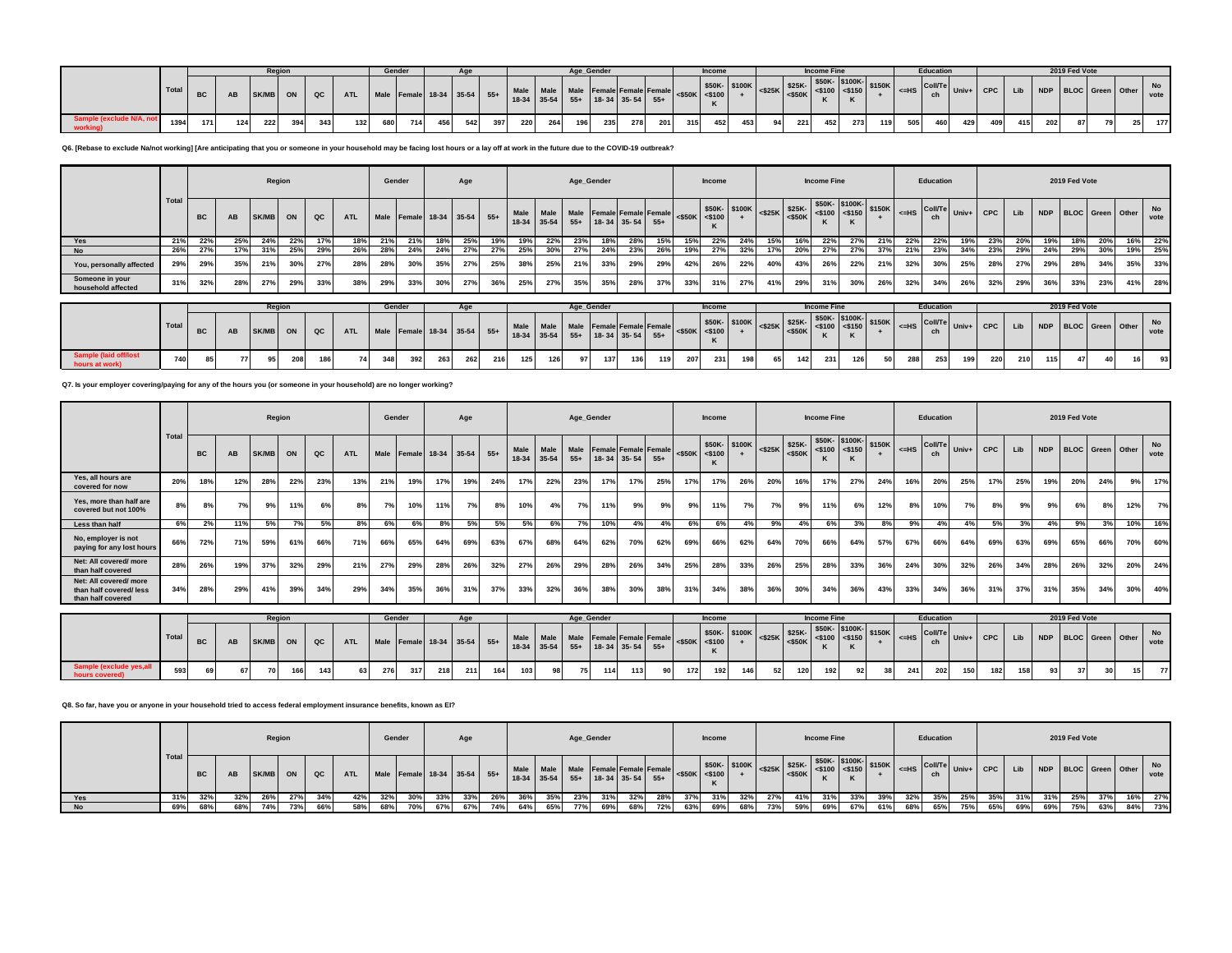|                                    |       |                  |     | Regior |     |     |                                                                                                                                                                                                                                                  | Gende |     |     |     |     |     |     |     | Age Gender |     |     |     | Income |     |    |     | <b>Income Fine</b> |     |     |     | Education |     |     |     |     | 2019 Fed Vote |                      |    |            |
|------------------------------------|-------|------------------|-----|--------|-----|-----|--------------------------------------------------------------------------------------------------------------------------------------------------------------------------------------------------------------------------------------------------|-------|-----|-----|-----|-----|-----|-----|-----|------------|-----|-----|-----|--------|-----|----|-----|--------------------|-----|-----|-----|-----------|-----|-----|-----|-----|---------------|----------------------|----|------------|
|                                    | Total |                  |     | SK/MB  |     | QC  | - TI Male Female 18-34 35-54 55+ Male Male Male Female Female Female Female SSOK- 8100K - \$25K- \$25K- \$50K- \$100K- \$100K- \$150K - \$150K - \$150K - \$150K - \$150K - \$150K - \$150K - \$150K - \$150K - \$150K - \$150K - \$150K - \$150 |       |     |     |     |     |     |     |     |            |     |     |     |        |     |    |     |                    |     |     |     |           |     |     |     |     |               | NDP BLOC Green Other |    | No<br>vote |
| Sample (exclude N/A, i<br>working) | 1394  | 171 <sup>1</sup> | 124 | 222    | 394 | 343 | 132                                                                                                                                                                                                                                              | 680   | 714 | 456 | 542 | 397 | 220 | 264 | 196 | 235        | 278 | 201 | 315 | 452    | 453 | 94 | 221 | 452                | 273 | 119 | 505 | 460       | 429 | 409 | 415 | 202 | 87            |                      | 25 | 177        |

**Q6. [Rebase to exclude Na/not working] [Are anticipating that you or someone in your household may be facing lost hours or a lay off at work in the future due to the COVID-19 outbreak?**

|                                       |      |           |     |          | Region |     |            | Gender |     |                             | Age |     |                                                   |     |     | Age_Gender                      |     |     |     | <b>Income</b> |     |     |     | <b>Income Fine</b> |       |     |     | Education |     |     |     |     | 2019 Fed Vote |                      |            |
|---------------------------------------|------|-----------|-----|----------|--------|-----|------------|--------|-----|-----------------------------|-----|-----|---------------------------------------------------|-----|-----|---------------------------------|-----|-----|-----|---------------|-----|-----|-----|--------------------|-------|-----|-----|-----------|-----|-----|-----|-----|---------------|----------------------|------------|
|                                       | Tota | <b>BC</b> | AB  | SK/MB ON |        | QC  | <b>ATL</b> |        |     | Male Female 18-34 35-54 55+ |     |     | Male Male Male Female Female Female <\$50K <\$100 |     |     | 18-34 35-54 55+ 18-34 35-54 55+ |     |     |     |               |     |     |     |                    |       |     |     |           |     |     | Lib |     |               | NDP BLOC Green Other | No<br>vote |
| Yes                                   | 21%  | 22%       | 25% | 24%      | 22%    | 17% |            | 21%    | 21% | 18%                         | 25% | 19% | 19%                                               | 22% | 23% | 18%                             | 28% | 15% | 15% | 22%           | 24% |     | 16% | 22%                | - 27% | 21% | 22% | 22%       | 19% | 23% | 20% | 19% |               | 20%                  | 16% 22%    |
| <b>No</b>                             | 26%  | 27%       |     | 31%      | 25%    | 29% | 26%        | 28%    | 24% | 24%                         | 27% | 27% | 25%                                               | 30% | 27% | 24%                             | 23% | 26% | 19% | 27%           | 32% | 17% | 20% | 27%                | 27%   | 37% | 21% | 23%       | 34% | 23% | 29% | 24% | 29%           | 30%                  | 19% 25%    |
| You, personally affected              | 29%  | 29%       | 35% | 21%      | 30%    | 27% | 28%        | 28%    | 30% | 35%                         | 27% | 25% | 38%                                               | 25% | 21% | 33%                             | 29% | 29% | 42% | 26%           | 22% | 40% | 43% | 26%                | 22%   | 21% | 32% | 30%       | 25% | 28% | 27% | 29% | 28%           | 34%                  | 35% 33%    |
| Someone in your<br>household affected | 31%  | 32%       | 28% | 27%      | 29%    | 33% | 38%        | 29%    | 33% | 30%                         | 27% | 36% | 25%                                               | 27% | 35% | 35%                             | 28% | 37% | 33% | 31%           | 27% | 41% | 29% | 31%                | 30%   | 26% | 32% | 34%       | 26% | 32% | 29% | 36% | 33%           | 23%                  | 41% 28%    |

|                                         |       |           |          | Regior |            |                                                                                                                                                                                                                                |     | Gender |     |     |     |     |     |    | Age Gender |     |     |     | Income |     |    |     | <b>Income Fine</b> |     |    |     | <b>Education</b> |     |     |     |     | 2019 Fed Vote |                 |    |
|-----------------------------------------|-------|-----------|----------|--------|------------|--------------------------------------------------------------------------------------------------------------------------------------------------------------------------------------------------------------------------------|-----|--------|-----|-----|-----|-----|-----|----|------------|-----|-----|-----|--------|-----|----|-----|--------------------|-----|----|-----|------------------|-----|-----|-----|-----|---------------|-----------------|----|
|                                         | Total | <b>BC</b> | SK/MB ON |        | $ $ QC $ $ | Wale Female 18-34 35-54 55+ Male Male Male Female Female Female Female SSOK STOOK 3100K SSOK STOOK STOOK STOOK STOOK STOOK STOOK STOOK STOOK STOOK STOOK STOOK STOOK STOOK STOOK STOOK STOOK STOOK STOOK STOOK STOOK STOOK STO |     |        |     |     |     |     |     |    |            |     |     |     |        |     |    |     |                    |     |    |     |                  |     |     |     |     |               |                 |    |
| Sample (laid off/lost<br>hours at work) | 740   | 85        | 95       | 208    | 186        |                                                                                                                                                                                                                                | 348 | 392    | 263 | 262 | 216 | 125 | 126 | 97 | 137        | 136 | 119 | 207 | 231    | 198 | 65 | 142 | 231                | 126 | 50 | 288 | 253              | 199 | 220 | 210 | 115 | 47            | 16 <sup>1</sup> | 93 |

### **Q7. Is your employer covering/paying for any of the hours you (or someone in your household) are no longer working?**

|                                                                      |              |           |     |              | Region |               |            | Gender |                         |     | Age |       |                   |                      |               | Age_Gender |                                            |       |     | Income                      |               |           |                     | <b>Income Fine</b> |                                        |        |         | Education            |       |            |     |            | 2019 Fed Vote           |             |     |                   |
|----------------------------------------------------------------------|--------------|-----------|-----|--------------|--------|---------------|------------|--------|-------------------------|-----|-----|-------|-------------------|----------------------|---------------|------------|--------------------------------------------|-------|-----|-----------------------------|---------------|-----------|---------------------|--------------------|----------------------------------------|--------|---------|----------------------|-------|------------|-----|------------|-------------------------|-------------|-----|-------------------|
|                                                                      | <b>Total</b> | <b>BC</b> | AB  | <b>SK/MB</b> | ON     | $_{\alpha c}$ | <b>ATL</b> |        | Male Female 18-34 35-54 |     |     | $55+$ | Male<br>$18 - 34$ | <b>Male</b><br>35-54 | Male<br>$55+$ |            | <b>Female Female Female</b><br>18-34 35-54 | $55+$ |     | $<$ \$50K $<$ \$100         | \$50K- \$100K | $<$ \$25K | \$25K-<br>$<$ \$50K |                    | \$50K-\$100K-<br>$<$ \$100 <\$150<br>K | \$150K | $<$ -HS | Coll/Te<br>ch        | Univ+ | <b>CPC</b> | Lib | <b>NDP</b> | <b>BLOC</b>             | Green Other |     | No<br>vote        |
| Yes, all hours are<br>covered for now                                | 20%          | 18%       | 12% | 28%          | 22%    | 23%           | 13%        | 21%    | 19%                     | 17% | 19% | 24%   | 17%               | 22%                  | 23%           | 17%        | 17%                                        | 25%   | 17% | 17%                         | 26%           | 20%       | 16%                 | 17%                | 27%                                    | 24%    | 16%     | 20%                  | 25%   | 17%        | 25% | 19%        | 20%                     | 24%         | 9%  | 17%               |
| Yes, more than half are<br>covered but not 100%                      | 8%           | 8%        | 7%  | 9%           | 11%    | 6%            | 8%         | 7%     | 10%                     | 11% | 7%  | 8%    | 10%               | 4%                   | 7%            | 11%        | 9%                                         | 9%    | 9%  | 11%                         | 7%            | 7%        | 9%                  | 11%                | 6%                                     | 12%    | 8%      | 10%                  | 7%    | 8%         | 9%  | 9%         | 6%                      | 8%          | 12% | 7%                |
| Less than half                                                       | 6%           | 2%        | 11% | 5%           | 7%     | 5%            | 8%         | 6%     | 6%                      | 8%  | 5%  | 5%    | 5%                | 6%                   | 7%            | 10%        | 4%                                         | 4%    | 6%  | 6%                          | 4%            | 9%        | 4%                  | 6%                 | 3%                                     | 8%     | 9%      | 4%                   | 4%    | 5%         | 3%  | 4%         | 9%                      | 3%          | 10% | 16%               |
| No, employer is not<br>paying for any lost hours                     | 66%          | 72%       | 71% | 59%          | 61%    | 66%           | 71%        | 66%    | 65%                     | 64% | 69% | 63%   | 67%               | 68%                  | 64%           | 62%        | 70%                                        | 62%   | 69% | 66%                         | 62%           | 64%       | 70%                 | 66%                | 64%                                    | 57%    | 67%     | 66%                  | 64%   | 69%        | 63% | 69%        | 65%                     | 66%         | 70% | 60%               |
| Net: All covered/more<br>than half covered                           | 28%          | 26%       | 19% | 37%          | 32%    | 29%           | 21%        | 27%    | 29%                     | 28% | 26% | 32%   | 27%               | 26%                  | 29%           | 28%        | 26%                                        | 34%   | 25% | 28%                         | 33%           | 26%       | 25%                 | 28%                | 33%                                    | 36%    | 24%     | 30%                  | 32%   | 26%        | 34% | 28%        | 26%                     | 32%         | 20% | 24%               |
| Net: All covered/more<br>than half covered/less<br>than half covered | 34%          | 28%       | 29% | 41%          | 39%    | 34%           | 29%        | 34%    | 35%                     | 36% | 31% | 37%   | 33%               | 32%                  | 36%           | 38%        | 30%                                        | 38%   | 31% | 34%                         | 38%           | 36%       | 30%                 | 34%                | 36%                                    | 43%    | 33%     | 34%                  | 36%   | 31%        | 37% | 31%        | 35%                     | 34%         | 30% | 40%               |
|                                                                      |              |           |     |              |        |               |            |        |                         |     |     |       |                   |                      |               |            |                                            |       |     |                             |               |           |                     |                    |                                        |        |         |                      |       |            |     |            |                         |             |     |                   |
|                                                                      |              |           |     |              | Region |               |            | Gender |                         |     | Age |       |                   |                      |               | Age Gender |                                            |       |     | <b>Income</b>               |               |           |                     | <b>Income Fine</b> |                                        |        |         | Education            |       |            |     |            | 2019 Fed Vote           |             |     |                   |
|                                                                      | <b>Total</b> | <b>BC</b> | AB  | <b>SK/MB</b> | ON     | $_{\alpha c}$ | <b>ATL</b> | Male   | Female 18-34 35-54      |     |     | $55+$ | Male              | Male<br>18-34 35-54  | $55+$         |            | Male Female Female Female<br>18-34 35-54   | $55+$ |     | $<$ \$50K $\le$ \$100<br>n. | \$50K- \$100K | $<$ \$25K | \$25K-<br>$<$ \$50K | $<$ \$100          | \$50K-\$100K-<br>$\leq$ \$150<br>K     | \$150K | $<=$ HS | <b>Coll/Te</b><br>ch | Univ+ | <b>CPC</b> | Lib | <b>NDP</b> | <b>BLOC</b> Green Other |             |     | <b>No</b><br>vote |
| Sample (exclude yes, all<br>hours covered)                           | 593          | 69        | 67  | -70          | 166    | 143           | 6.         | 276    | 317                     | 218 | 211 | 164   | 103               |                      | 75            | 114        | 113                                        | 90    | 172 | 192                         | 146           | 52        | 120                 | 1921               | 921                                    |        | 241     | 202                  | 150   | 182        | 158 | 931        |                         | 30          | 15  | 77                |

### **Q8. So far, have you or anyone in your household tried to access federal employment insurance benefits, known as EI?**

|           |       |           |     |             | Region |     |            |     | Gender |     | Age                         |     |     |                            |     | Age_Gender                                         |     |     |                                                                                                                                                                                                                                        | Income |     |      |         | <b>Income Fine</b> |     |     |     | Education |                                                                                                                                                                                                                            |            |     |     | 2019 Fed Vote |                         |     |             |
|-----------|-------|-----------|-----|-------------|--------|-----|------------|-----|--------|-----|-----------------------------|-----|-----|----------------------------|-----|----------------------------------------------------|-----|-----|----------------------------------------------------------------------------------------------------------------------------------------------------------------------------------------------------------------------------------------|--------|-----|------|---------|--------------------|-----|-----|-----|-----------|----------------------------------------------------------------------------------------------------------------------------------------------------------------------------------------------------------------------------|------------|-----|-----|---------------|-------------------------|-----|-------------|
|           | Total | <b>BC</b> |     | <b>SK/M</b> |        | QC  | <b>ATL</b> |     |        |     | Male Female 18-34 35-54 55+ |     |     | Male Male<br>$18-34$ 35-54 |     | Male Female Female Female<br>$55+$ 18-34 35-54 55+ |     |     | $\left \right $ <\$50K \esphement \esphement \esphement \esphement \esphement \esphement \esphement \esphement \esphement \esphement \esphement \esphement \esphement \esphement \esphement \esphement \esphement \esphement \esphemen |        |     |      | $$25K-$ |                    |     |     |     |           | $\frac{1}{2}$ \$50K- \$100K-<br>$\left  \begin{array}{c} \text{$\$100K$} \\ \text{$\lessdot$8100} \end{array} \right $ \$150K $\left  \begin{array}{c} \text{$\lessdot$100K$} \\ \text{$\lessdot$100} \end{array} \right $ | <b>CPC</b> | Lib |     |               | NDP BLOC Green Other No |     | <b>vote</b> |
| Yes       | 31%   | 32%       | 32% | 26%         | 27%    | 34% | 42%        | 32% | 30%    | 33% | 33%                         | 26% | 36% | 35%                        | 23% | 31%                                                |     |     | 37%                                                                                                                                                                                                                                    | 31%    | 32% | -27% | 41%     |                    | 33% | 39% | 32% | 35%       | 25%                                                                                                                                                                                                                        | 35%        | 31% |     | 25%           | 37%                     | 16% | 27%         |
| <b>No</b> | 69%   | 68%       | 68% | 74%         | 73%    | 66% | 58%        | 68% | 70%    | 67% | 67%                         | 74% | 64% | 65%                        | 77% | 69%                                                | 68% | 72% | 63%                                                                                                                                                                                                                                    | 69%    | 68% | 73%  | 59%     | 69%                | 67% | 61% | 68% | 65%       | 75%                                                                                                                                                                                                                        | 65%        | 69% | 69% | 75%           | 63%                     | 84% | 73%         |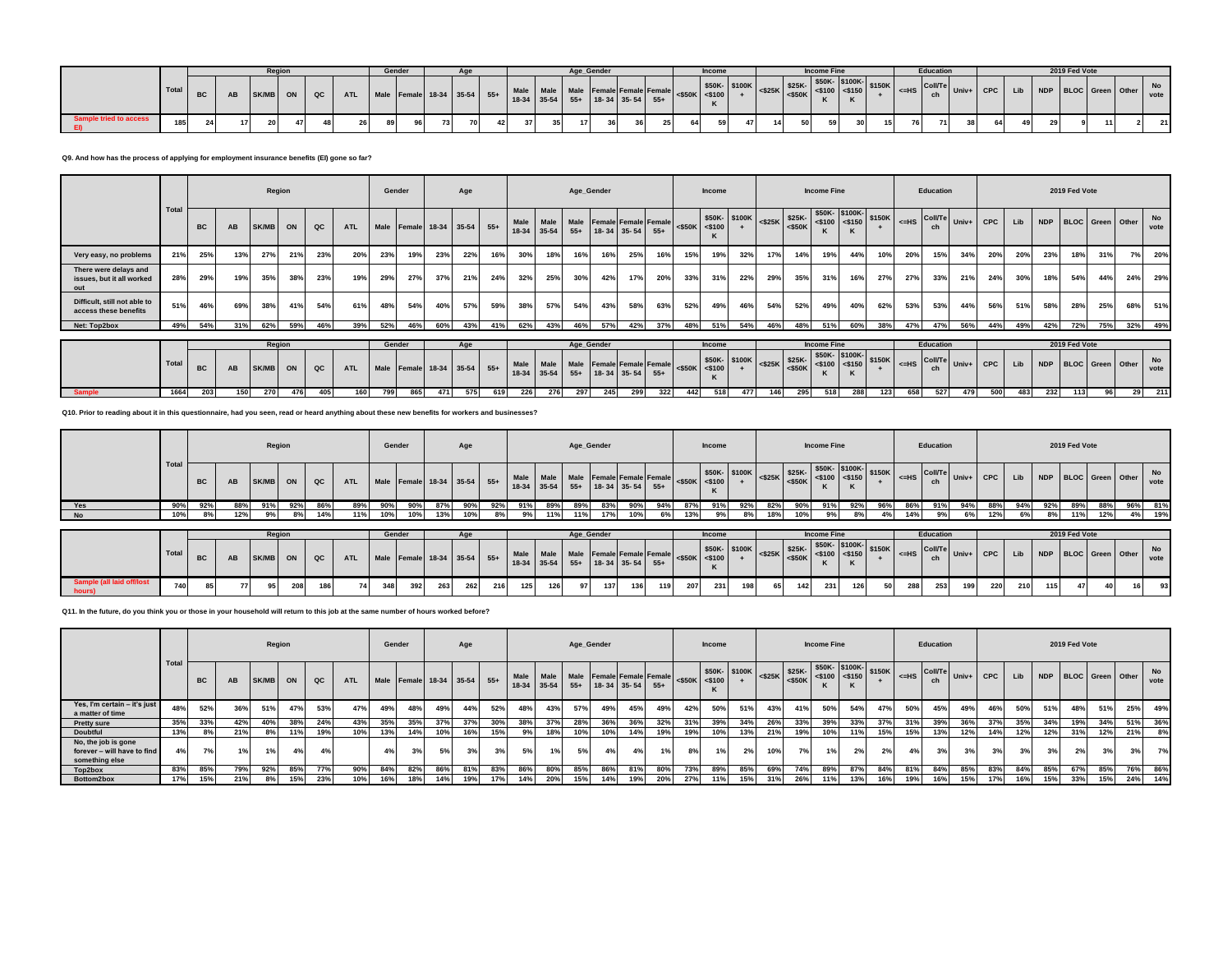|                       |       |           |                 | <b>Regio</b> |    |                                                                                                    |    | Gender |      |  |      |                                                                                                                               | Age Gende |    |  |    | <b>Income</b> |    |    |                                                                                       | <b>Income Fine</b> |          |  | <b>Education</b> |                                                                         |    |    | 2019 Fed Vote |  |            |
|-----------------------|-------|-----------|-----------------|--------------|----|----------------------------------------------------------------------------------------------------|----|--------|------|--|------|-------------------------------------------------------------------------------------------------------------------------------|-----------|----|--|----|---------------|----|----|---------------------------------------------------------------------------------------|--------------------|----------|--|------------------|-------------------------------------------------------------------------|----|----|---------------|--|------------|
|                       | Total | <b>BC</b> |                 | SK/MB ON     |    | ww   ATL   Male   Female   18-34   35-54   55+   Mare   Marc   18-34   35-54   35-54   55+   Sagun |    |        |      |  |      | Male Male Male Female Female Female $\begin{bmatrix} 550K \\ 500K \end{bmatrix}$ $\begin{bmatrix} 500K \\ 100K \end{bmatrix}$ |           |    |  |    |               |    |    | $+$ $ $ <\$25K $ $ $\leq$ \$50K $ $ $\leq$ \$100 $ $ $\leq$ \$150 $ $ $ $ $ $ $ $ $ $ |                    | - IS100K |  | Cov              | $\vert$ <=HS $\vert$ Coll/Te Univ+ CPC Lib NDP BLOC Green Other $\vert$ |    |    |               |  | No<br>vote |
| ample tried to access | 185   |           | 17 <sup>1</sup> | 20           | 47 |                                                                                                    | 89 |        | 73 I |  | 37 I | 35                                                                                                                            | 17        | 36 |  | 64 |               | 47 | 14 |                                                                                       | 591                |          |  |                  | 38 I                                                                    | 64 | 49 |               |  | 21         |

## **Q9. And how has the process of applying for employment insurance benefits (EI) gone so far?**

|                                                           |      |           |     |       | Region |               |            |     | Gender                  |     | Age |       |                     |      |       | Age_Gender                                   |     |     |     | <b>Income</b>             |               |                                                                                                                                                                                                        |     | <b>Income Fine</b> |     |        |           | Education            |             |     |     |     | 2019 Fed Vote |     |                      |            |
|-----------------------------------------------------------|------|-----------|-----|-------|--------|---------------|------------|-----|-------------------------|-----|-----|-------|---------------------|------|-------|----------------------------------------------|-----|-----|-----|---------------------------|---------------|--------------------------------------------------------------------------------------------------------------------------------------------------------------------------------------------------------|-----|--------------------|-----|--------|-----------|----------------------|-------------|-----|-----|-----|---------------|-----|----------------------|------------|
|                                                           | Tota | <b>BC</b> | AB  | SK/MB | ON     | $_{\alpha c}$ | <b>ATL</b> |     | Male Female 18-34 35-54 |     |     | $55+$ | Male<br>18-34 35-54 | Male | $55+$ | Male Female Female Female<br>18-34 35-54 55+ |     |     |     | $<$ \$50K $<$ \$100<br>n. | \$50K- \$100K | $\left  \begin{array}{cc} \text{525K} \\ \text{525K} \\ \text{550K} \end{array} \right  \xrightarrow{\$50K$} \left  \begin{array}{cc} \text{5100K-} \\ \text{5100} \\ \text{550K} \end{array} \right $ |     |                    |     | \$150K | $\leq$ HS | <b>Coll/Te</b><br>ch | $Univ+$ CPC |     | Lib |     |               |     | NDP BLOC Green Other | No<br>vote |
| Very easy, no problems                                    | 21%  | 25%       | 13% | 27%   | 21%    | 23%           | 20%        | 23% | 19%                     | 23% | 22% | 16%   | 30%                 | 18%  | 16%   | 16%                                          | 25% | 16% | 15% | 19%                       | 32%           | 17%                                                                                                                                                                                                    | 14% | 19%                | 44% | 10%    | 20%       | 15%                  | 34%         | 20% | 20% | 23% | 18%           | 31% | 7%                   | 20%        |
| There were delays and<br>issues, but it all worked<br>out | 28%  | 29%       | 19% | 35%   | 38%    | 23%           | 19%        | 29% | 27%                     | 37% | 21% | 24%   | 32%                 | 25%  | 30%   | 42%                                          | 17% | 20% | 33% | 31%                       | 22%           | 29%                                                                                                                                                                                                    | 35% | 31%                | 16% | 27%    | 27%       | 33%                  | 21%         | 24% | 30% | 18% | 54%           | 44% | 24%                  | 29%        |
| Difficult, still not able to<br>access these benefits     | 51%  | 46%       | 69% | 38%   | 41%    | 54%           | 61%        | 48% | 54%                     | 40% | 57% | 59%   | 38%                 | 57%  | 54%   | 43%                                          | 58% | 63% | 52% | 49%                       | 46%           | 54%                                                                                                                                                                                                    | 52% | 49%                | 40% | 62%    | 53%       | 53%                  | 44%         | 56% | 51% | 58% | 28%           | 25% | 68%                  | 51%        |
| Net: Top2box                                              | 49%  | 54%       | 31% | 62%   | 59%    | 46%           | 39%        | 52% | 46%                     | 60% | 43% | 41%   | 62%                 | 43%  | 46%   | 57%                                          | 42% | 37% | 48% | 51%                       | 54%           | 46%                                                                                                                                                                                                    | 48% | 51%                | 60% | 38%    | 47%       | 47%                  | 56%         | 44% | 49% | 42% | 72%           | 75% | 32%                  | 49%        |
|                                                           |      |           |     |       | Region |               |            |     | Gender                  |     | Age |       |                     |      |       | Age Gender                                   |     |     |     | Income                    |               |                                                                                                                                                                                                        |     | <b>Income Fine</b> |     |        |           | Education            |             |     |     |     | 2019 Fed Vote |     |                      |            |

|  | , Total | <b>BC</b> | AB    | SK/MB ON |     | l QC. | ATI | Male Female 18-34 35-54 55+ |   |     |             |     | $18-34$ 35-54 | $55+$ | $18-34$ 35-54 55+ |     |     |      |     | $K -$ \$100K<br>Male Female Female Female <\$50K <\$100 + |     |     |     |     |     |     |     |  |  | $\left  \begin{array}{cc} \text{S25K} & \text{S25K} \\ \text{S25K} & \text{S25K} \end{array} \right $ $\left  \begin{array}{c} \text{S50K} \\ \text{S5100} \end{array} \right $ $\left  \begin{array}{c} \text{S150K} \\ \text{S150K} \end{array} \right $ $\left  \begin{array}{c} \text{CbIII} \\ \text{c} \text{H}\text{S} \end{array} \right $ Univ+ $\left  \begin{array}{c} \text{CPC} \\ \text{CPC} \end{array} \right $ Lib |     |
|--|---------|-----------|-------|----------|-----|-------|-----|-----------------------------|---|-----|-------------|-----|---------------|-------|-------------------|-----|-----|------|-----|-----------------------------------------------------------|-----|-----|-----|-----|-----|-----|-----|--|--|-------------------------------------------------------------------------------------------------------------------------------------------------------------------------------------------------------------------------------------------------------------------------------------------------------------------------------------------------------------------------------------------------------------------------------------|-----|
|  |         | 203       | 150 I | 270      | 476 |       |     | 799                         | ᅂ | 471 | <b>E76.</b> | 226 | -276          | 297   | 245 I             | 299 | 322 | 4421 | 518 | 4771                                                      | 146 | 518 | 288 | 123 | 658 | 527 | 479 |  |  |                                                                                                                                                                                                                                                                                                                                                                                                                                     | 211 |

**Q10. Prior to reading about it in this questionnaire, had you seen, read or heard anything about these new benefits for workers and businesses?**

|                             |       |           |      |          | Region |     |                                                                                                                                                                                         | Gender |     |     | Age                         |     |     |     | Age_Gender |                  |     |     |     | <b>Income</b> |     |     |        | <b>Income Fine</b> |      |     |     | Education        |     |     |     |     | 2019 Fed Vote        |     |            |
|-----------------------------|-------|-----------|------|----------|--------|-----|-----------------------------------------------------------------------------------------------------------------------------------------------------------------------------------------|--------|-----|-----|-----------------------------|-----|-----|-----|------------|------------------|-----|-----|-----|---------------|-----|-----|--------|--------------------|------|-----|-----|------------------|-----|-----|-----|-----|----------------------|-----|------------|
|                             | Tota  | <b>BC</b> | AB   | SK/MB ON |        | QC  | ATL Male Female 18-34 35-54 55+ Male Male Female Female Female Female $\begin{vmatrix}$ SSOK- \$100K SSOK- \$100K- \$100K- \$100K- \$150K- \$100K- \$150K C-SHOW- THIS COLLTE Univ+ CPC |        |     |     |                             |     |     |     |            |                  |     |     |     |               |     |     |        |                    |      |     |     |                  |     |     | Lib |     | NDP BLOC Green Other |     | No<br>vote |
| Yes                         | 90%   | 92%       | 88%  | 91%      | 92%    |     | 89%                                                                                                                                                                                     | 90%    |     |     | 90%                         | 92% | 91% | 89% | 89%        | 83%              |     | 94% | 87% | 91%           | 92% | 82% | 90%    | 91%                | 92%  | 96% | 86% | 91%              | 94% | 88% | 94% | 92% | 89%                  | 96% | 81%        |
| No                          | 10%   |           | 2%   |          |        |     | 11%                                                                                                                                                                                     | 10%    |     |     |                             |     |     |     |            |                  |     |     | 13% |               |     |     |        |                    |      |     | 14% |                  |     |     |     |     |                      | 4%  | 19%        |
|                             |       |           |      |          |        |     |                                                                                                                                                                                         |        |     |     |                             |     |     |     |            |                  |     |     |     |               |     |     |        |                    |      |     |     |                  |     |     |     |     |                      |     |            |
|                             |       |           |      |          | Region |     |                                                                                                                                                                                         | Gender |     |     | Aae                         |     |     |     |            | Age Gender       |     |     |     | <b>Income</b> |     |     |        | <b>Income Fine</b> |      |     |     | <b>Education</b> |     |     |     |     | 2019 Fed Vote        |     |            |
|                             | Total | <b>BC</b> | AB   | SK/MB    | ON     | QC  | <b>ATL</b>                                                                                                                                                                              |        |     |     | Male Female 18-34 35-54 55+ |     |     |     |            |                  |     |     |     |               |     |     |        |                    |      |     |     |                  |     |     | Lib |     | NDP BLOC Green Other |     | No<br>vote |
| all laid off/lost<br>hours) | 740   |           | 77 I | 95       | 208    | 186 | 741                                                                                                                                                                                     | 348    | 392 | 263 | 262                         | 216 | 125 | 126 | 97         | 137 <sup>1</sup> | 136 |     | 207 | 231           | 198 | 65  | $1421$ | 231                | 1261 | 50  | 288 | 253              | 199 | 220 | 210 | 115 | 47                   |     | 93         |

**Q11. In the future, do you think you or those in your household will return to this job at the same number of hours worked before?**

|                                                                      |       |     |     |       | Region |     |     | Gender |                             |            | Age |     |                     |     |     | Age_Gender                                              |     |     |                     | <b>Income</b> |                                                                                                                                         |     |     | <b>Income Fine</b> |     |                                                                                                                             |     | Education                                |     |            |     |     | 2019 Fed Vote |                      |     |            |
|----------------------------------------------------------------------|-------|-----|-----|-------|--------|-----|-----|--------|-----------------------------|------------|-----|-----|---------------------|-----|-----|---------------------------------------------------------|-----|-----|---------------------|---------------|-----------------------------------------------------------------------------------------------------------------------------------------|-----|-----|--------------------|-----|-----------------------------------------------------------------------------------------------------------------------------|-----|------------------------------------------|-----|------------|-----|-----|---------------|----------------------|-----|------------|
|                                                                      | Total | BC  |     | SK/MB | ON     | QC  | ATL |        | Male Female 18-34 35-54 55+ |            |     |     | Male<br>18-34 35-54 |     |     | Male Male Female Female Female<br>$55+$ 18-34 35-54 55+ |     |     | $<$ \$50K $<$ \$100 |               | $\begin{array}{ c c c c c c } \hline & $50K$ & $100K$ & $-$25K$ & $50K$ \\ \hline & $+250K$ & $+250K$ & $-$250K$ \\ \hline \end{array}$ |     |     |                    |     | $\begin{array}{ c c c c c }\n\hline\n\text{$50K-}\n\end{array}$ $\begin{array}{ c c c }\n\hline\n\text{$150K}\n\end{array}$ |     | $X \big _{\leq H S}$ Coll/Te Univ+<br>ch |     | <b>CPC</b> | Lib |     |               | NDP BLOC Green Other |     | No<br>vote |
| Yes, I'm certain - it's just<br>a matter of time                     | 48%   | 52% | 36% | 51%   | 47%    | 53% | 47% | 49%    | 48%                         | 49%        | 44% | 52% | 48%                 | 43% | 57% | 49%                                                     | 45% | 49% | 42%                 | 50%           | 51%                                                                                                                                     | 43% | 41% | 50%                | 54% | 47%                                                                                                                         | 50% | 45%                                      | 49% | 46%        | 50% | 51% | 48%           | 51%                  | 25% | 49%        |
| <b>Pretty sure</b>                                                   | 35%   | 33% | 42% | 40%   |        | 24% | 43% | 35%    | 35%                         | $37^\circ$ | 37% | 30% | 38%                 | 37% | 28% | 36%                                                     | 36% | 32% | 31%                 | 39%           | 34%                                                                                                                                     | 26% | 33% | 39%                | 33% | 37%                                                                                                                         | 31% | 39%                                      | 36% | 37%        | 35% | 34% | 19%           | 34%                  | 51% | 36%        |
| Doubtful                                                             | 13%   |     | 21% | 8%    | 11%    | 19% | 10% | 13%    | 14%                         | 10%        | 16% | 15% | 9%                  | 18% | 10% | 10%                                                     | 14% | 19% | 19%                 | 10%           | 13%                                                                                                                                     | 21% | 19% | 10%                | 11% | 15%                                                                                                                         | 15% | 13%                                      | 12% | 14%        | 12% | 12% | 31%           | 12%                  | 21% | 8%         |
| No, the job is gone<br>forever - will have to find<br>something else | 4%    | 7%1 | 1%  |       | 4%     | 4%  |     | 4%     | 3%                          | 5%         | 3%  | 3%  | 5%                  | 1%  | 5%  | 4%                                                      | 4%  |     | 8%                  | 1%            | 2%                                                                                                                                      | 10% | 7%  | 1%                 | 2%  | 2%                                                                                                                          | 4%  | 3%                                       | 3%  | 3%         | 3%  | 3%  | 2%            | 3%                   | 3%  | 7%         |
| Top2box                                                              | 83%   | 85% | 79% | 92%   | 85%    | 77% | 90% | 84%    | 82%                         | 86°        | 81% | 83% | 86%                 | 80% | 85% | 86%                                                     | 81% | 80% | 73%                 | 89%           | 85%                                                                                                                                     | 69% | 74% | 89%                | 87% | 84%                                                                                                                         | 81% | 84%                                      | 85% | 83%        | 84% | 85% | 67%           | 85%                  | 76% | 86%        |
| Bottom2box                                                           | 17%   | 15% | 21% | 8%    | 15%    | 23% | 10% | 16%    | 18%                         | 14%        | 19% | 17% | 14%                 | 20% | 15% | 14%                                                     | 19% | 20% | 27%                 | 11%           | 15%                                                                                                                                     | 31% | 26% | 11%                | 13% | 16%                                                                                                                         | 19% | 16%                                      | 15% | 17%        | 16% | 15% | 33%           | 15%                  | 24% | 14%        |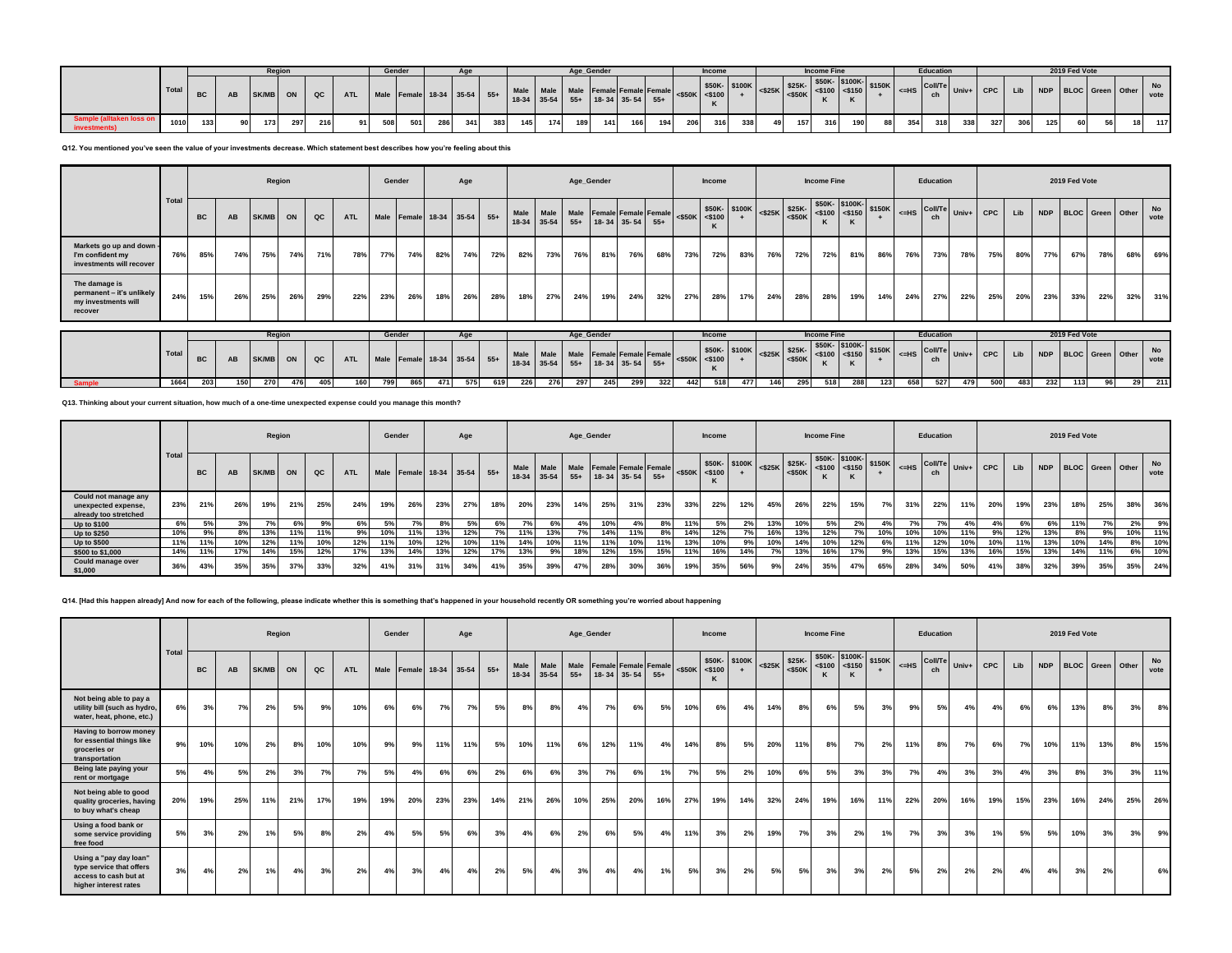|              |       |                  |      | Regior |     |     |                | Gende. |                                       |     |     |     |     |     | Age Gender |     |     |     |     | Income |     |    |     | <b>Income Fine</b> |     |    |     | <b>Education</b> |     |     |     |     | 2019 Fed Vote |  |     |
|--------------|-------|------------------|------|--------|-----|-----|----------------|--------|---------------------------------------|-----|-----|-----|-----|-----|------------|-----|-----|-----|-----|--------|-----|----|-----|--------------------|-----|----|-----|------------------|-----|-----|-----|-----|---------------|--|-----|
|              | Total | <b>BC</b>        |      | SK/MB  |     | QC  | ATL            |        | Male Female 18-34 35-54 55+ Male Male |     |     |     |     |     |            |     |     |     |     |        |     |    |     |                    |     |    |     |                  |     |     |     |     |               |  |     |
| investments) | 1010  | 133 <sup>1</sup> | nn i | 173    | 297 | 216 | Q <sub>1</sub> | 508    | 501                                   | 286 | 341 | 383 | 145 | 174 | 189        | 141 | 166 | 194 | 206 | 316    | 338 | 49 | 157 | 316                | 190 | 88 | 354 | 318              | 338 | 327 | 306 | 125 | 60            |  | 117 |

**Q12. You mentioned you've seen the value of your investments decrease. Which statement best describes how you're feeling about this**

|                                                                              |       |           |     |       | Region |     |            |     | Gender                      |     | Age |     |      |                          |       | Age_Gender        |             |                                    |           | Income              |               |       |                                       | <b>Income Fine</b> |                         |                       |         | Education            |       |            |     |     | 2019 Fed Vote        |     |     |                   |
|------------------------------------------------------------------------------|-------|-----------|-----|-------|--------|-----|------------|-----|-----------------------------|-----|-----|-----|------|--------------------------|-------|-------------------|-------------|------------------------------------|-----------|---------------------|---------------|-------|---------------------------------------|--------------------|-------------------------|-----------------------|---------|----------------------|-------|------------|-----|-----|----------------------|-----|-----|-------------------|
|                                                                              | Total | <b>BC</b> | AB  | SK/MB | ON     | QC  | <b>ATL</b> |     | Male Female 18-34 35-54 55+ |     |     |     | Male | Male<br>18-34 35-54      |       | $55+$ 18-34 35-54 |             | Male Female Female Female<br>$55+$ |           | $<$ \$50K $<$ \$100 | \$50K- \$100K |       | $<$ \$25K $\frac{25K}{50K}$           |                    | $<$ \$100 <\$150        | \$50K- \$100K- \$150K | $<=$ HS | <b>Coll/Te</b><br>ch | Univ+ | <b>CPC</b> | Lib |     | NDP BLOC Green Other |     |     | No<br>vote        |
| Markets go up and down -<br>I'm confident my<br>investments will recover     | 76%   | 85%       | 74% | 75%   | 74%    | 71% | 78%        | 77% | 74%                         | 82% | 74% | 72% | 82%  | 73%                      | 76%   | 81%               | 76%         | 68%                                | 73%       | 72%                 | 83%           | 76%   | 72%                                   | 72%                | 81%                     | 86%                   | 76%     | 73%                  | 78%   | 75%        | 80% | 77% | 67%                  | 78% | 68% | 69%               |
| The damage is<br>permanent - it's unlikely<br>my investments will<br>recover | 24%   | 15%       | 26% | 25%   | 26%    | 29% | 22%        | 23% | 26%                         | 18% | 26% | 28% | 18%  | 27%                      | 24%   | 19%               | 24%         | 32%                                | 27%       | 28%                 | 17%           | 24%   | 28%                                   | 28%                | 19%                     | 14%                   | 24%     | 27%                  | 22%   | 25%        | 20% | 23% | 33%                  | 22% | 32% | 31%               |
|                                                                              |       |           |     |       |        |     |            |     | Gender                      |     |     |     |      |                          |       |                   |             |                                    |           |                     |               |       |                                       | <b>Income Fine</b> |                         |                       |         | Education            |       |            |     |     | 2019 Fed Vote        |     |     |                   |
|                                                                              |       | Region    |     |       |        |     |            |     |                             |     | Age |     |      |                          |       | Age_Gender        |             |                                    |           | Income              |               |       |                                       |                    |                         |                       |         |                      |       |            |     |     |                      |     |     |                   |
|                                                                              | Total | <b>BC</b> | AB  | SK/MB | ON     | QC  | <b>ATL</b> |     | Male Female 18-34 35-54 55+ |     |     |     |      | Male Male<br>18-34 35-54 | $55+$ |                   | 18-34 35-54 | Male Female Female Female<br>$55+$ | $<$ \$50K | $<$ \$100           | \$50K- \$100K |       | $<$ \$25K $\Big $ \$25K-<br>$<$ \$50K |                    | $$50K-$100K-<$100<$150$ | \$150K                |         | The Coll/Te<br>ch    | Univ+ | <b>CPC</b> | Lib |     | NDP BLOC Green Other |     |     | <b>No</b><br>vote |
| <b>Sample</b>                                                                | 1664  | 203       | 150 | 270   | 476    | 405 | 160        | 799 | 865                         |     | 575 | 619 | 226  | 276                      | 297   | 245               | 299         | 322                                | 442       | 518                 | 477           | $146$ | 295                                   | 518                | 288                     | 123                   | 658     | 527                  | 479   | 500        | 483 | 232 | 113                  | 96  | 29  | 211               |

**Q13. Thinking about your current situation, how much of a one-time unexpected expense could you manage this month?**

|                                                                      |      |           |     |       | Region |     |            | Gender |            |     | Age                         |     |     |     |     | Age_Gender                                                             |     |     |                         | <b>Income</b> |                                                                 |     |     | <b>Income Fine</b> |                                                         |        |     | Education |                                                                                                                                                                                                                                                                                                                                                                                      |            |     |     | 2019 Fed Vote        |     |     |            |
|----------------------------------------------------------------------|------|-----------|-----|-------|--------|-----|------------|--------|------------|-----|-----------------------------|-----|-----|-----|-----|------------------------------------------------------------------------|-----|-----|-------------------------|---------------|-----------------------------------------------------------------|-----|-----|--------------------|---------------------------------------------------------|--------|-----|-----------|--------------------------------------------------------------------------------------------------------------------------------------------------------------------------------------------------------------------------------------------------------------------------------------------------------------------------------------------------------------------------------------|------------|-----|-----|----------------------|-----|-----|------------|
|                                                                      | Tota | <b>BC</b> | AB  | SK/MB | ON     | QC  | <b>ATL</b> |        |            |     | Male Female 18-34 35-54 55+ |     |     |     |     | Male Male Male Female Female Female<br>18-34 35-54 55+ 18-34 35-54 55+ |     |     | $<$ \$50K $\le$ < \$100 |               | $\frac{1}{250K}$ \$100K $\left  \frac{25K}{25K} \right $ \$25K- |     |     |                    | \$50K-\$100K-<br>$ \frac{$25K}{550K} $ <\$100 <\$150 \] | \$150K |     | ch.       | $\overline{C}$ $\overline{C}$ $\overline{C}$ $\overline{C}$ $\overline{C}$ $\overline{C}$ $\overline{C}$ $\overline{C}$ $\overline{C}$ $\overline{C}$ $\overline{C}$ $\overline{C}$ $\overline{C}$ $\overline{C}$ $\overline{C}$ $\overline{C}$ $\overline{C}$ $\overline{C}$ $\overline{C}$ $\overline{C}$ $\overline{C}$ $\overline{C}$ $\overline{C}$ $\overline{C}$ $\overline{$ | <b>CPC</b> | Lib |     | NDP BLOC Green Other |     |     | No<br>vote |
| Could not manage any<br>unexpected expense,<br>already too stretched | 23%  | 21%       | 26% | 19%   | 21%    | 25% | 24%        | 19%    | 26%        | 23% | 27%                         | 18% | 20% | 23% | 14% | 25%                                                                    | 31% | 23% | 33%                     | 22%           | 12%                                                             | 45% | 26% | 22%                | 15%                                                     | 7%     | 31% | 22%       | 11%                                                                                                                                                                                                                                                                                                                                                                                  | 20%        | 19% | 23% | 18%                  | 25% | 38% | 36%        |
| <b>Up to \$100</b>                                                   | 6%   | 5%        | 3%  | 7%    | 6%     | 9%  | 6%         | 5%     | <b>7%1</b> | 8%  | 5%                          | 6%  | 7%  | 6%  | 4%  | 10%                                                                    |     | 8%  | 11%                     | 5%            | 2%                                                              | 13% | 10% | 5%                 |                                                         | 4%     | 7%  | 7%1       | 4%                                                                                                                                                                                                                                                                                                                                                                                   | 4%         | 6%  | 6%  | 11%                  | 7%  | 2%  | 9%         |
| <b>Up to \$250</b>                                                   | 10%  | 9%        | 8%  | 13%   | 11%    |     | 9%         | 10%    | 11%        | 13% | 12%                         | 7%  | 11% | 13% |     | 14%                                                                    | 11% | 8%  | 14%                     | 12%           |                                                                 | 16% | 13% | 12%                |                                                         | 10%    | 10% | 10%       |                                                                                                                                                                                                                                                                                                                                                                                      | 9%         | 12% |     |                      | 9%  | 10% | 11%        |
| <b>Up to \$500</b>                                                   | 11%  | 11%       | 10% | 12%   | 11%    |     | 12%        | 11%    | 10%        | 12% | 10%                         | 11% | 14% | 10% | 11% | 11%                                                                    | 10% | 11% | 13%                     | 10%           | 9%                                                              | 10% | 14% | 10%                | 12%                                                     | 6%     | 11% | 12%       | 10%                                                                                                                                                                                                                                                                                                                                                                                  | 10%        | 11% | 13% | 10%                  | 14% | 8%  | 10%        |
| \$500 to \$1,000                                                     | 14%  | 11%       | 17% | 14%   | 15%    | 12% | 17%        | 13%    | 14%        | 13% | 12%                         | 17% | 13% | 9%  | 18% | 12%                                                                    | 15% | 15% | 11%                     | 16%           | 14%                                                             | 7%  | 13% | 16%                | 17%                                                     | 9%     | 13% | 15%       | 13%                                                                                                                                                                                                                                                                                                                                                                                  | 16%        | 15% | 13% | 14%                  | 11% | 6%  | 10%        |
| Could manage over<br>\$1,000                                         | 36%  | 43%       | 35% | 35%   |        | 33% | 32%        | 41%    | 31%        | 31% | 34%                         | 41% | 35% | 39% | 47% | 28%                                                                    | 30% | 36% | 19%                     | 35%           | 56%                                                             | 9%  | 24% | 35%                | 47%                                                     | 65%    | 28% | 34%       | 50%                                                                                                                                                                                                                                                                                                                                                                                  | 41%        | 38% | 32% | 39%                  | 35% | 35% | 24%        |

**Q14. [Had this happen already] And now for each of the following, please indicate whether this is something that's happened in your household recently OR something you're worried about happening**

|                                                                                                      |       |           |     | Region       |     |     |            | Gender |                             |     | Age |     |               |               |       | Age_Gender  |                           |       |           | Income         |              |           |                     | <b>Income Fine</b>         |                       |               |                  | Education |       |            |     |            | 2019 Fed Vote |     |                         |                   |
|------------------------------------------------------------------------------------------------------|-------|-----------|-----|--------------|-----|-----|------------|--------|-----------------------------|-----|-----|-----|---------------|---------------|-------|-------------|---------------------------|-------|-----------|----------------|--------------|-----------|---------------------|----------------------------|-----------------------|---------------|------------------|-----------|-------|------------|-----|------------|---------------|-----|-------------------------|-------------------|
|                                                                                                      | Total | <b>BC</b> | AB  | <b>SK/MB</b> | ON  | QC  | <b>ATL</b> |        | Male Female 18-34 35-54 55+ |     |     |     | Male<br>18-34 | Male<br>35-54 | $55+$ | 18-34 35-54 | Male Female Female Female | $55+$ | $<$ \$50K | $<$ \$100<br>ĸ | \$50K-\$100K | $<$ \$25K | \$25K-<br>$<$ \$50K | \$50K-\$100K-<br>$<$ \$100 | $<$ \$150<br>$\kappa$ | \$150K<br>$+$ | I <= HS Coll/Tel | ch        | Univ+ | <b>CPC</b> | Lib | <b>NDP</b> |               |     | <b>BLOC</b> Green Other | <b>No</b><br>vote |
| Not being able to pay a<br>utility bill (such as hydro,<br>water, heat, phone, etc.)                 | 6%    | 3%        | 7%  | 2%           | 5%  | 9%  | 10%        | 6%     | 6%                          | 7%  | 7%  | 5%  | 8%            | 8%            | 4%    | 7%          | 6%                        | 5%    | 10%       | 6%             | 4%           | 14%       | 8%                  | 6%                         | 5%                    | 3%            | 9%               | 5%        | 4%    | 4%         | 6%  | 6%         | 13%           | 8%  | 3%                      | 8%                |
| Having to borrow money<br>for essential things like<br>groceries or<br>transportation                | 9%    | 10%       | 10% | 2%           | 8%  | 10% | 10%        | 9%     | 9%                          | 11% | 11% | 5%  | 10%           | 11%           | 6%    | 12%         | 11%                       | 4%    | 14%       | 8%             | 5%           | 20%       | 11%                 | 8%                         | 7%                    | 2%            | 11%              | 8%        | 7%    | 6%         | 7%  | 10%        | 11%           | 13% | 8%                      | 15%               |
| Being late paying your<br>rent or mortgage                                                           | 5%    | 4%        | 5%  | 2%           | 3%  | 7%  | 7%         | 5%     | 4%                          | 6%  | 6%  | 2%  | 6%            | 6%            | 3%    | 7%          | 6%                        | 1%    | 7%        | 5%             | 2%           | 10%       | 6%                  | 5%                         | 3%                    | 3%            | 7%               | 4%        | 3%    | 3%         | 4%  | 3%         | 8%            | 3%  | 3%                      | 11%               |
| Not being able to good<br>quality groceries, having<br>to buy what's cheap                           | 20%   | 19%       | 25% | 11%          | 21% | 17% | 19%        | 19%    | 20%                         | 23% | 23% | 14% | 21%           | 26%           | 10%   | 25%         | 20%                       | 16%   | 27%       | 19%            | 14%          | 32%       | 24%                 | 19%                        | 16%                   | 11%           | 22%              | 20%       | 16%   | 19%        | 15% | 23%        | 16%           | 24% | 25%                     | 26%               |
| Using a food bank or<br>some service providing<br>free food                                          | 5%    | 3%        | 2%  | 1%           | 5%  | 8%  | 2%         | 4%     | 5%                          | 5%  | 6%  | 3%  | 4%            | 6%            | 2%    | 6%          | 5%                        | 4%    | 11%       | 3%             | 2%           | 19%       | 7%                  | 3%                         | 2%                    | 1%            | 7%               | 3%        | 3%    | 1%         | 5%  | 5%         | 10%           | 3%  | 3%                      | 9%                |
| Using a "pay day loan"<br>type service that offers<br>access to cash but at<br>higher interest rates | 3%    | 4%        | 2%  | 1%           | 4%  | 3%  | 2%         | 4%     | 3%                          | 4%  | 4%  | 2%  | 5%            | 4%            | 3%    | 4%          | 4%                        | 1%    | 5%        | 3%             | 2%           | 5%        | 5%                  | 3%                         | 3%                    | 2%            | 5%               | 2%        | 2%    | 2%         | 4%  | 4%         | 3%            | 2%  |                         | 6%                |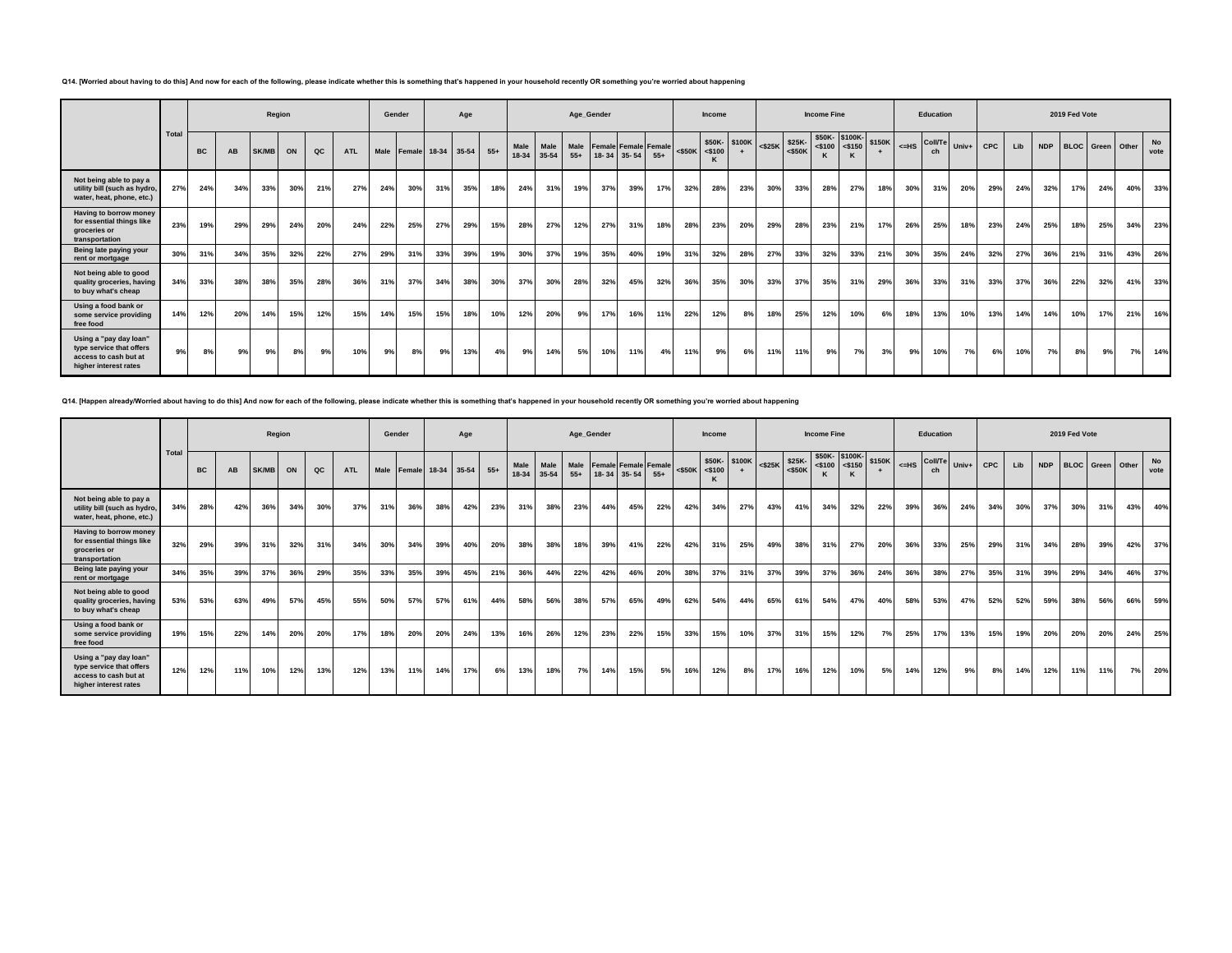**Q14. [Worried about having to do this] And now for each of the following, please indicate whether this is something that's happened in your household recently OR something you're worried about happening**

|                                                                                                      |       |           |     |              | Region |     |            | Gender |                         |     | Age |       |               |                   |               | Age_Gender                  |             |       |           | Income         |              |           |        | <b>Income Fine</b>                                                                        |     |        |                              | Education |       |     |     |            | 2019 Fed Vote |                         |     |            |
|------------------------------------------------------------------------------------------------------|-------|-----------|-----|--------------|--------|-----|------------|--------|-------------------------|-----|-----|-------|---------------|-------------------|---------------|-----------------------------|-------------|-------|-----------|----------------|--------------|-----------|--------|-------------------------------------------------------------------------------------------|-----|--------|------------------------------|-----------|-------|-----|-----|------------|---------------|-------------------------|-----|------------|
|                                                                                                      | Total | <b>BC</b> | AB  | <b>SK/MB</b> | ON     | QC  | <b>ATL</b> |        | Male Female 18-34 35-54 |     |     | $55+$ | Male<br>18-34 | Male<br>$35 - 54$ | Male<br>$55+$ | <b>Female Female Female</b> | 18-34 35-54 | $55+$ | $<$ \$50K | $<$ \$100<br>к | \$50K-\$100K | $<$ \$25K | \$25K- | \$50K-\$100K-<br>$\left  \begin{array}{c} 250K & 2100 \\ 250K & 2100 \end{array} \right $ |     | \$150K | L <sub>&lt;=HS</sub> Coll/Te | ch        | Univ+ | CPC | Lib | <b>NDP</b> |               | <b>BLOC</b> Green Other |     | No<br>vote |
| Not being able to pay a<br>utility bill (such as hydro,<br>water, heat, phone, etc.)                 | 27%   | 24%       | 34% | 33%          | 30%    | 21% | 27%        | 24%    | 30%                     | 31% | 35% | 18%   | 24%           | 31%               | 19%           | 37%                         | 39%         | 17%   | 32%       | 28%            | 23%          | 30%       | 33%    | 28%                                                                                       | 27% | 18%    | 30%                          | 31%       | 20%   | 29% | 24% | 32%        | 17%           | 24%                     | 40% | 33%        |
| Having to borrow money<br>for essential things like<br>aroceries or<br>transportation                | 23%   | 19%       | 29% | 29%          | 24%    | 20% | 24%        | 22%    | 25%                     | 27% | 29% | 15%   | 28%           | 27%               | 12%           | 27%                         | 31%         | 18%   | 28%       | 23%            | 20%          | 29%       | 28%    | 23%                                                                                       | 21% | 17%    | 26%                          | 25%       | 18%   | 23% | 24% | 25%        | 18%           | 25%                     | 34% | 23%        |
| Being late paying your<br>rent or mortgage                                                           | 30%   | 31%       | 34% | 35%          | 32%    | 22% | 27%        | 29%    | 31%                     | 33% | 39% | 19%   | 30%           | 37%               | 19%           | 35%                         | 40%         | 19%   | 31%       | 32%            | 28%          | 27%       | 33%    | 32%                                                                                       | 33% | 21%    | 30%                          | 35%       | 24%   | 32% | 27% | 36%        | 21%           | 31%                     | 43% | 26%        |
| Not being able to good<br>quality groceries, having<br>to buy what's cheap                           | 34%   | 33%       | 38% | 38%          | 35%    | 28% | 36%        | 31%    | 37%                     | 34% | 38% | 30%   | 37%           | 30%               | 28%           | 32%                         | 45%         | 32%   | 36%       | 35%            | 30%          | 33%       | 37%    | 35%                                                                                       | 31% | 29%    | 36%                          | 33%       | 31%   | 33% | 37% | 36%        | 22%           | 32%                     | 41% | 33%        |
| Using a food bank or<br>some service providing<br>free food                                          | 14%   | 12%       | 20% | 14%          | 15%    | 12% | 15%        | 14%    | 15%                     | 15% | 18% | 10%   | 12%           | 20%               | 9%            | 17%                         | 16%         | 11%   | 22%       | 12%            | 8%           | 18%       | 25%    | 12%                                                                                       | 10% | 6%     | 18%                          | 13%       | 10%   | 13% | 14% | 14%        | 10%           | 17%                     | 21% | 16%        |
| Using a "pay day loan"<br>type service that offers<br>access to cash but at<br>higher interest rates | 9%    | 8%        | 9%  | 9%           | 8%     | 9%  | 10%        | 9%     | 8%                      | 9%  | 13% | 4%    | 9%            | 14%               | 5%            | 10%                         | 11%         | 4%    | 11%       | 9%             | 6%           | 11%       | 11%    | 9%                                                                                        | 7%  | 3%     | 9%                           | 10%       | 7%    | 6%  | 10% | 7%         | 8%            | 9%                      | 7%  | 14%        |

**Q14. [Happen already/Worried about having to do this] And now for each of the following, please indicate whether this is something that's happened in your household recently OR something you're worried about happening**

|                                                                                                      |       |           |     |              | Region |     |            | Gender |     |                             | Age |     |                   |                   |     | Age_Gender                                         |     |       |                     | <b>Income</b> |              |           |               | <b>Income Fine</b>                |     |        |     | Education                     |     |            |     |            | 2019 Fed Vote |                  |     |            |
|------------------------------------------------------------------------------------------------------|-------|-----------|-----|--------------|--------|-----|------------|--------|-----|-----------------------------|-----|-----|-------------------|-------------------|-----|----------------------------------------------------|-----|-------|---------------------|---------------|--------------|-----------|---------------|-----------------------------------|-----|--------|-----|-------------------------------|-----|------------|-----|------------|---------------|------------------|-----|------------|
|                                                                                                      | Total | <b>BC</b> | AB  | <b>SK/MB</b> | ON     | QC  | <b>ATL</b> |        |     | Male Female 18-34 35-54 55+ |     |     | Male<br>$18 - 34$ | Male<br>$35 - 54$ |     | Male Female Female Female<br>$55+$   18-34   35-54 |     | $55+$ | $<$ \$50K $<$ \$100 |               | \$50K-\$100K | $<$ \$25K | $$25K - $50K$ | \$50K-\$100K-<br>$<$ \$100 <\$150 |     | \$150K |     | $\leq$ HS Coll/Te Univ+<br>ch |     | <b>CPC</b> | Lib | <b>NDP</b> |               | BLOC Green Other |     | No<br>vote |
| Not being able to pay a<br>utility bill (such as hydro,<br>water, heat, phone, etc.)                 | 34%   | 28%       | 42% | 36%          | 34%    | 30% | 37%        | 31%    | 36% | 38%                         | 42% | 23% | 31%               | 38%               | 23% | 44%                                                | 45% | 22%   | 42%                 | 34%           | 27%          | 43%       | 41%           | 34%                               | 32% | 22%    | 39% | 36%                           | 24% | 34%        | 30% | 37%        | 30%           | 31%              | 43% | 40%        |
| Having to borrow money<br>for essential things like<br>aroceries or<br>transportation                | 32%   | 29%       | 39% | 31%          | 32%    | 31% | 34%        | 30%    | 34% | 39%                         | 40% | 20% | 38%               | 38%               | 18% | 39%                                                | 41% | 22%   | 42%                 | 31%           | 25%          | 49%       | 38%           | 31%                               | 27% | 20%    | 36% | 33%                           | 25% | 29%        | 31% | 34%        | 28%           | 39%              | 42% | 37%        |
| Being late paying your<br>rent or mortgage                                                           | 34%   | 35%       | 39% | 37%          | 36%    | 29% | 35%        | 33%    | 35% | 39%                         | 45% | 21% | 36%               | 44%               | 22% | 42%                                                | 46% | 20%   | 38%                 | 37%           | 31%          | 37%       | 39%           | 37%                               | 36% | 24%    | 36% | 38%                           | 27% | 35%        | 31% | 39%        | 29%           | 34%              | 46% | 37%        |
| Not being able to good<br>quality groceries, having<br>to buy what's cheap                           | 53%   | 53%       | 63% | 49%          | 57%    | 45% | 55%        | 50%    | 57% | 57 <sup>°</sup>             | 61% | 44% | 58%               | 56%               | 38% | 57%                                                | 65% | 49%   | 62%                 | 54%           | 44%          | 65%       | 61%           | 54%                               | 47% | 40%    | 58% | 53%                           | 47% | 52%        | 52% | 59%        | 38%           | 56%              | 66% | 59%        |
| Using a food bank or<br>some service providing<br>free food                                          | 19%   | 15%       | 22% | 14%          | 20%    | 20% | 17%        | 18%    | 20% | 20%                         | 24% | 13% | 16%               | 26%               | 12% | 23%                                                | 22% | 15%   | 33%                 | 15%           | 10%          | 37%       | 31%           | 15%                               | 12% | 7%     | 25% | 17%                           | 13% | 15%        | 19% | 20%        | 20%           | 20%              | 24% | 25%        |
| Using a "pay day loan"<br>type service that offers<br>access to cash but at<br>higher interest rates | 12%   | 12%       | 11% | 10%          | 12%    | 13% | 12%        | 13%    | 11% | 14%                         | 17% | 6%  | 13%               | 18%               | 7%  | 14%                                                | 15% | 5%    | 16%                 | 12%           | 8%           | 17%       | 16%           | 12%                               | 10% | 5%     | 14% | 12%                           | 9%  | 8%         | 14% | 12%        | 11%           | 11%              | 7%  | 20%        |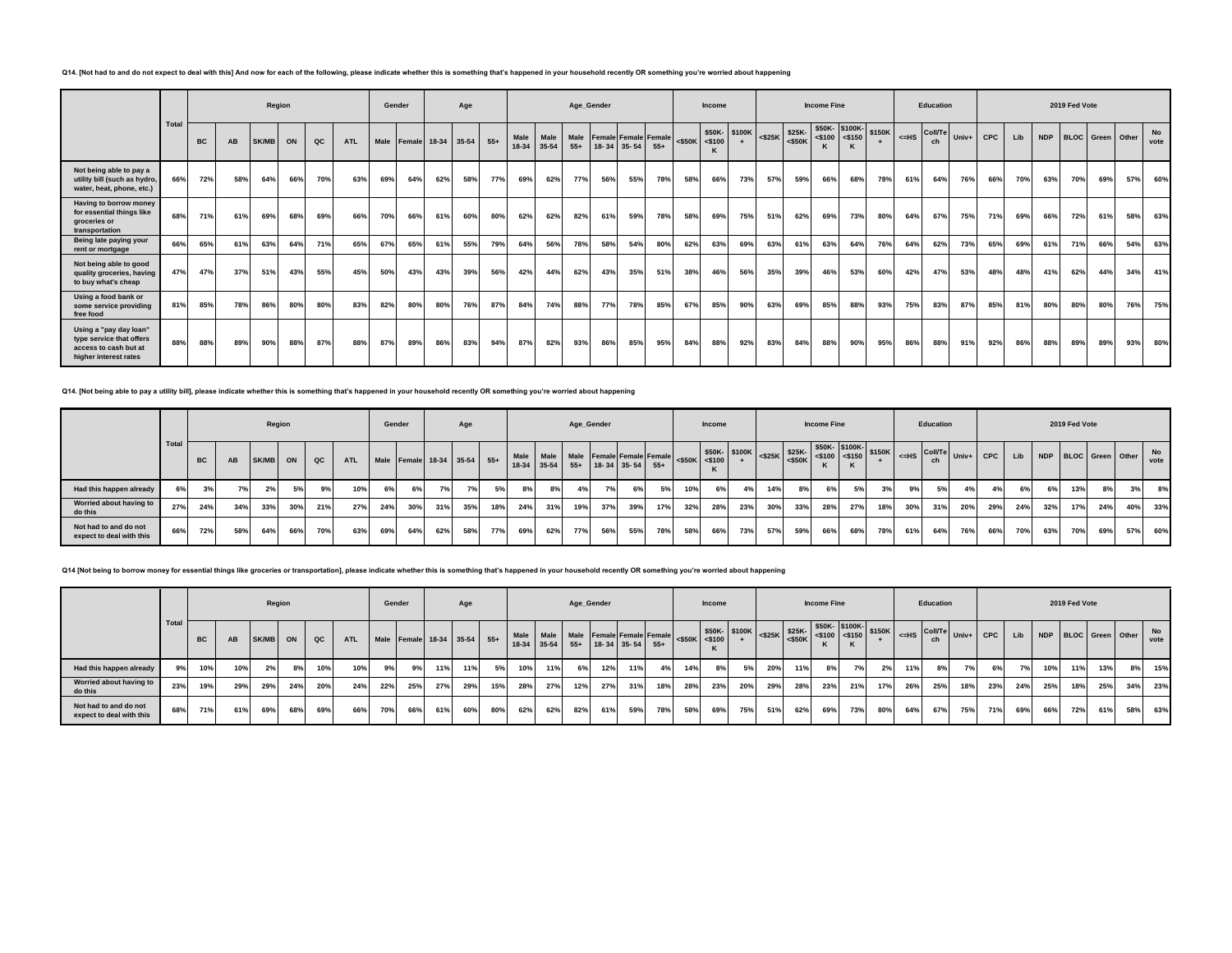### **Q14. [Not had to and do not expect to deal with this] And now for each of the following, please indicate whether this is something that's happened in your household recently OR something you're worried about happening**

|                                                                                                      |       |           |     |              | Region |     |            | Gender |                    |     | Age |       |               |               |               | Age_Gender                  |             |       |     | Income              |               |           |                     | <b>Income Fine</b>                |     |        |           | Education            |             |     |     |            | 2019 Fed Vote |                         |     |                   |
|------------------------------------------------------------------------------------------------------|-------|-----------|-----|--------------|--------|-----|------------|--------|--------------------|-----|-----|-------|---------------|---------------|---------------|-----------------------------|-------------|-------|-----|---------------------|---------------|-----------|---------------------|-----------------------------------|-----|--------|-----------|----------------------|-------------|-----|-----|------------|---------------|-------------------------|-----|-------------------|
|                                                                                                      | Total | <b>BC</b> | AB  | <b>SK/MB</b> | ON     | QC  | <b>ATL</b> | Male   | Female 18-34 35-54 |     |     | $55+$ | Male<br>18-34 | Male<br>35-54 | Male<br>$55+$ | <b>Female Female Female</b> | 18-34 35-54 | $55+$ |     | $<$ \$50K $<$ \$100 | \$50K- \$100K | $<$ \$25K | \$25K-<br>$<$ \$50K | \$50K-\$100K-<br>$<$ \$100 <\$150 |     | \$150K | $\leq$ HS | <b>Coll/Te</b><br>ch | Univ+ $CPC$ |     | Lib | <b>NDP</b> |               | <b>BLOC</b> Green Other |     | <b>No</b><br>vote |
| Not being able to pay a<br>utility bill (such as hydro,<br>water, heat, phone, etc.)                 | 66%   | 72%       | 58% | 64%          | 66%    | 70% | 63%        | 69%    | 64%                | 62% | 58% | 77%   | 69%           | 62%           | 77%           | 56%                         | 55%         | 78%   | 58% | 66%                 | 73%           | 57%       | 59%                 | 66%                               | 68% | 78%    | 61%       | 64%                  | 76%         | 66% | 70% | 63%        | 70%           | 69%                     | 57% | 60%               |
| Having to borrow money<br>for essential things like<br>aroceries or<br>transportation                | 68%   | 71%       | 61% | 69%          | 68%    | 69% | 66%        | 70%    | 66%                | 61% | 60% | 80%   | 62%           | 62%           | 82%           | 61%                         | 59%         | 78%   | 58% | 69%                 | 75%           | 51%       | 62%                 | 69%                               | 73% | 80%    | 64%       | 67%                  | 75%         | 71% | 69% | 66%        | 72%           | 61%                     | 58% | 63%               |
| Being late paying your<br>rent or mortgage                                                           | 66%   | 65%       | 61% | 63%          | 64%    | 71% | 65%        | 67%    | 65%                | 61% | 55% | 79%   | 64%           | 56%           | 78%           | 58%                         | 54%         | 80%   | 62% | 63%                 | 69%           | 63%       | 61%                 | 63%                               | 64% | 76%    | 64%       | 62%                  | 73%         | 65% | 69% | 61%        | 71%           | 66%                     | 54% | 63%               |
| Not being able to good<br>quality groceries, having<br>to buy what's cheap                           | 47%   | 47%       | 37% | 51%          | 43%    | 55% | 45%        | 50%    | 43%                | 43% | 39% | 56%   | 42%           | 44%           | 62%           | 43%                         | 35%         | 51%   | 38% | 46%                 | 56%           | 35%       | 39%                 | 46%                               | 53% | 60%    | 42%       | 47%                  | 53%         | 48% | 48% | 41%        | 62%           | 44%                     | 34% | 41%               |
| Using a food bank or<br>some service providing<br>free food                                          | 81%   | 85%       | 78% | 86%          | 80%    | 80% | 83%        | 82%    | 80%                | 80% | 76% | 87%   | 84%           | 74%           | 88%           | 77%                         | 78%         | 85%   | 67% | 85%                 | 90%           | 63%       | 69%                 | 85%                               | 88% | 93%    | 75%       | 83%                  | 87%         | 85% | 81% | 80%        | 80%           | 80%                     | 76% | 75%               |
| Using a "pay day loan"<br>type service that offers<br>access to cash but at<br>higher interest rates | 88%   | 88%       | 89% | 90%          | 88%    | 87% | 88%        | 87%    | 89%                | 86% | 83% | 94%   | 87%           | 82%           | 93%           | 86%                         | 85%         | 95%   | 84% | 88%                 | 92%           | 83%       | 84%                 | 88%                               | 90% | 95%    | 86%       | 88%                  | 91%         | 92% | 86% | 88%        | 89%           | 89%                     | 93% | 80%               |

### **Q14. [Not being able to pay a utility bill], please indicate whether this is something that's happened in your household recently OR something you're worried about happening**

|                                                   |       |           |     |          | Region |     |     | Gender |     |     | Age                         |     |     |             |     | Age_Gender                                                   |     |     |     | <b>Income</b>       |              |     |     | <b>Income Fine</b> |                                                                                                                                                                                                                                                                                                                                           |     |     | Education |     |                                                    |     |     | 2019 Fed Vote        |     |     |                   |
|---------------------------------------------------|-------|-----------|-----|----------|--------|-----|-----|--------|-----|-----|-----------------------------|-----|-----|-------------|-----|--------------------------------------------------------------|-----|-----|-----|---------------------|--------------|-----|-----|--------------------|-------------------------------------------------------------------------------------------------------------------------------------------------------------------------------------------------------------------------------------------------------------------------------------------------------------------------------------------|-----|-----|-----------|-----|----------------------------------------------------|-----|-----|----------------------|-----|-----|-------------------|
|                                                   | Total | <b>BC</b> | AB  | SK/MB ON |        | QC  | ATL |        |     |     | Male Female 18-34 35-54 55+ |     |     | 18-34 35-54 |     | Male Male Male Female Female Female<br>$55+$ 18-34 35-54 55+ |     |     |     | $<$ \$50K $<$ \$100 | \$50K-\$100K |     |     |                    | $S50K -$ \$100K-<br>\$150K<br>$\left  \begin{matrix} 1 \\ 256 \end{matrix} \right $ $\left  \begin{matrix} 100 \end{matrix} \right $ $\left  \begin{matrix} 256 \end{matrix} \right $ $\left  \begin{matrix} 250 \end{matrix} \right $ $\left  \begin{matrix} 3100 \end{matrix} \right $ $\left  \begin{matrix} 450 \end{matrix} \right $ |     |     |           |     | $\Big $ <=HS $\Big $ Coll/Te Univ+ CPC $\Big $ Lib |     |     | NDP BLOC Green Other |     |     | <b>No</b><br>vote |
| Had this happen already                           | 6%    | 20        | 7%  | 2%       | 5%     | 9%  | 10% | 6%     | 6%  | 7%  | 7%                          | 5%  | 8%  | 8%          | 4%  | 7%                                                           | 6%  | 5%  | 10% | 6%                  | 4%           | 14% | 8%  | 6%                 | 5%                                                                                                                                                                                                                                                                                                                                        | 3%  | 9%  | 5%        | 4%  | 4%                                                 | 6%  | 6%  | 13%                  | 8%  | 3%  | 8%                |
| Worried about having to<br>do this                | 27%   | 24%       | 34% | 33%      | 30%    | 21% | 27% | 24%    | 30% | 31% | 35%                         | 18% | 24% | 31%         | 19% | 37%                                                          | 39% | 17% | 32% | 28%                 | 23%          | 30% | 33% | 28%                | 27%                                                                                                                                                                                                                                                                                                                                       | 18% | 30% | 31%       | 20% | 29%                                                | 24% | 32% | 17%                  | 24% | 40% | 33%               |
| Not had to and do not<br>expect to deal with this | 66%   | 72%       | 58% | 64%      | 66%    | 70% | 63% | 69%    | 64% | 62% | 58%                         | 77% | 69% | 62%         | 77% | 56%                                                          | 55% | 78% | 58% | 66%                 | 73%          | 57% | 59% | 66%                | 68%                                                                                                                                                                                                                                                                                                                                       | 78% | 61% | 64%       | 76% | 66%                                                | 70% | 63% | 70%                  | 69% | 57% | 60%               |

#### **Q14 [Not being to borrow money for essential things like groceries or transportation], please indicate whether this is something that's happened in your household recently OR something you're worried about happening**

|                                                   |       |           |           |          | Region |     |            | Gender |     |     | Age                         |     |     |                          |     | Age Gender            |     |                           |     | <b>Income</b> |                                                                                                                                                                                                                                                                                                                                                                                                                                 |     |     | <b>Income Fine</b> |     |     |                                                             | Education |     |     |     |     | 2019 Fed Vote |     |                      |            |
|---------------------------------------------------|-------|-----------|-----------|----------|--------|-----|------------|--------|-----|-----|-----------------------------|-----|-----|--------------------------|-----|-----------------------|-----|---------------------------|-----|---------------|---------------------------------------------------------------------------------------------------------------------------------------------------------------------------------------------------------------------------------------------------------------------------------------------------------------------------------------------------------------------------------------------------------------------------------|-----|-----|--------------------|-----|-----|-------------------------------------------------------------|-----------|-----|-----|-----|-----|---------------|-----|----------------------|------------|
|                                                   | Total | <b>BC</b> | <b>AB</b> | SK/MB ON |        | QC  | <b>ATL</b> |        |     |     | Male Female 18-34 35-54 55+ |     |     | Male Male<br>18-34 35-54 |     | $55+$ 18-34 35-54 55+ |     | Male Female Female Female |     |               | $\left  \begin{array}{cc} -\text{value} \\ -\text{550K} \end{array} \right $ $\left  \begin{array}{cc} \text{550K} & \text{5100K} \\ -\text{5100} & + \end{array} \right $ $\left  \begin{array}{cc} \text{525K} & \text{550K} \\ -\text{525K} & \text{550K} \end{array} \right $ $\left  \begin{array}{cc} \text{5100K} & \text{5100K} \\ -\text{5150} & \text{5150K} \end{array} \right $ $\left  \begin{array}{cc} \text{25$ |     |     |                    |     |     | $\left  \right $ $\leq$ HS $\left $ Coll/Te $\right $ Univ+ |           |     | CPC | Lib |     |               |     | NDP BLOC Green Other | No<br>vote |
| Had this happen already                           | 9%    | 10%       | 10%       | 2%       | 8%     | 10% | 10%        | 9%     | 9%  | 11% | 11%                         | 5%  | 10% | 11%                      | 6%  | 12%                   | 11% |                           | 14% | 8%            | 5%                                                                                                                                                                                                                                                                                                                                                                                                                              | 20% | 11% | 8%                 |     | 2%  | 11%                                                         | 8%        | 7%  | 6%  | 7%  | 10% | 11%           | 13% | 8%                   | 15%        |
| Worried about having to<br>do this                | 23%   | 19%       | 29%       | 29%      | 24%    | 20% | 24%        | 22%    | 25% | 27% | 29%                         | 15% | 28% | 27%                      | 12% | 27%                   | 31% | 18%                       | 28% | 23%           | 20%                                                                                                                                                                                                                                                                                                                                                                                                                             | 29% | 28% | 23%                | 21% | 17% | 26%                                                         | 25%       | 18% | 23% | 24% | 25% | 18%           | 25% | 34%                  | 23%        |
| Not had to and do not<br>expect to deal with this | 68%   | 71%       | 61%       | 69%      | 68%    | 69% | 66%        | 70%    | 66% | 61% | 60%                         | 80% | 62% | 62%                      | 82% | 61%                   | 59% | 78%                       | 58% | 69%           | 75%                                                                                                                                                                                                                                                                                                                                                                                                                             | 51% | 62% | 69%                | 73% | 80% | 64%                                                         | 67%       | 75% | 71% | 69% | 66% | 72%           | 61% | 58%                  | 63%        |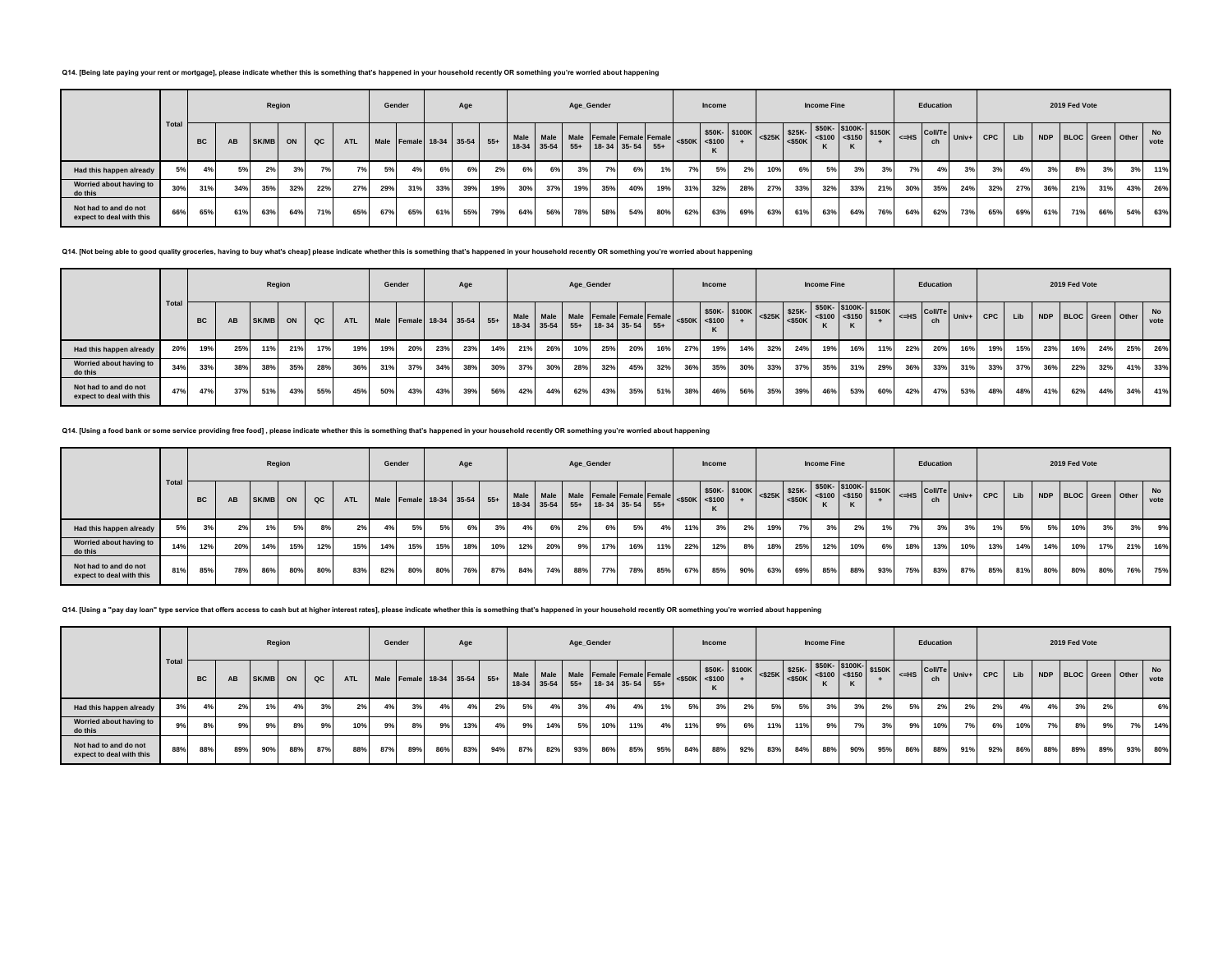### **Q14. [Being late paying your rent or mortgage], please indicate whether this is something that's happened in your household recently OR something you're worried about happening**

|                                                   |      |           |     | Region |     |     |            | Gender |                             |     | Age  |     |         |     |     | Age Gender                |     |                                     |                     | <b>Income</b> |                                                                                                  |     |     | <b>Income Fine</b> |     |     |     | Education |           |         |     |            | 2019 Fed Vote           |     |    |                   |
|---------------------------------------------------|------|-----------|-----|--------|-----|-----|------------|--------|-----------------------------|-----|------|-----|---------|-----|-----|---------------------------|-----|-------------------------------------|---------------------|---------------|--------------------------------------------------------------------------------------------------|-----|-----|--------------------|-----|-----|-----|-----------|-----------|---------|-----|------------|-------------------------|-----|----|-------------------|
|                                                   | Tota | <b>BC</b> | AB  | SK/MB  | ON  | QC  | <b>ATL</b> |        | Male Female 18-34 35-54 55+ |     |      |     | $18-34$ |     |     | 35-54 55+ 18-34 35-54 55+ |     | Male Male Male Female Female Female | $<$ \$50K $<$ \$100 |               | V100K S25K S25K S400K S150K S150K SHS COUTE University of the SASSON STATE STATE<br>\$50K-\$100K |     |     |                    |     |     |     |           | $ $ Univ+ | CPC Lib |     | <b>NDP</b> | <b>BLOC</b> Green Other |     |    | <b>No</b><br>vote |
| Had this happen already                           | 5%   | 4%        | 5%  | 2%     | 3%  | 7%  | 7%         | 5%     | 4%                          | 6%  | 6% 1 | 2%  | 6%      | 6%  | 3%  | 7%                        | 6%  |                                     | 7%1                 | 5%            | 2%                                                                                               | 10% | 6%  | 5%                 | 3%  | 3%  | 7%  | 4%        | 3%        | 3%      | 4%  | 3%         | 8%                      | 3%  | 3% | 11%               |
| Worried about having to<br>do this                | 30%  | 31%       | 34% | 35%    | 32% | 22% | 27%        | 29%    | 31%                         | 33% | 39%  | 19% | 30%     | 37% | 19% | 35%                       | 40% | 19%                                 | 31%                 | 32%           | 28%                                                                                              | 27% | 33% | 32%                | 33% | 21% | 30% | 35%       | 24%       | 32%     | 27% | 36%        | 21%                     | 31% |    | 43% 26%           |
| Not had to and do not<br>expect to deal with this | 66%  | 65%       | 61% | 63%    | 64% | 71% | 65%        | 67%    | 65%                         | 61% | 55%  | 79% | 64%     | 56% | 78% | 58%                       | 54% | 80%                                 | 62%                 | 63%           | 69%                                                                                              | 63% | 61% | 63%                | 64% | 76% | 64% | 62%       | 73%       | 65%     | 69% | 61%        | 71%                     | 66% |    | 54% 63%           |

**Q14. [Not being able to good quality groceries, having to buy what's cheap] please indicate whether this is something that's happened in your household recently OR something you're worried about happening**

|                                                   |      |           |     |       | Region |               |            |     | Gender                      |     | Age |     |     |             |       | Age_Gender        |     |                                                   |     | <b>Income</b> |               |     |     | <b>Income Fine</b> |     |                                                                                                                                    |     | Education |                                                          |     |     |     | 2019 Fed Vote |                      |     |            |
|---------------------------------------------------|------|-----------|-----|-------|--------|---------------|------------|-----|-----------------------------|-----|-----|-----|-----|-------------|-------|-------------------|-----|---------------------------------------------------|-----|---------------|---------------|-----|-----|--------------------|-----|------------------------------------------------------------------------------------------------------------------------------------|-----|-----------|----------------------------------------------------------|-----|-----|-----|---------------|----------------------|-----|------------|
|                                                   | Tota | <b>BC</b> | AB  | SK/MB | ON     | $_{\alpha c}$ | <b>ATL</b> |     | Male Female 18-34 35-54 55+ |     |     |     |     | 18-34 35-54 | $55+$ | $18-34$ 35-54 55+ |     | Male Male Male Female Female Female <\$50K <\$100 |     |               | \$50K- \$100K |     |     |                    |     | $\frac{15100 \text{K}}{525 \text{K}}$ $\frac{\$25 \text{K}}{550 \text{K}}$ $\frac{\$500 \text{K}}{5500 \text{K}}$ $\$150 \text{K}$ |     | ch        | $\left  \right $ <=HS $\left  \right $ Coll/Te Univ+ CPC |     | Lib |     |               | NDP BLOC Green Other |     | No<br>vote |
| Had this happen already                           | 20%  | 19%       | 25% | 11%   | 21%    | 17%           | 19%        | 19% | 20%                         | 23% | 23% | 14% | 21% | 26%         | 10%   | 25%               | 20% | 16%                                               | 27% | 19%           | 14%           | 32% | 24% | 19%                | 16% | 11%                                                                                                                                | 22% | 20%       | 16%                                                      | 19% | 15% | 23% | 16%           | 24%                  | 25% | 26%        |
| Worried about having to<br>do this                | 34%  | 33%       | 38% | 38%   | 35%    | 28%           | 36%        | 31% | 37%                         | 34% | 38% | 30% | 37% | 30%         | 28%   | 32%               | 45% | 32%                                               | 36% | 35%           | 30%           | 33% | 37% | 35%                | 31% | 29%                                                                                                                                | 36% | 33%       | 31%                                                      | 33% | 37% | 36% | 22%           | 32%                  | 41% | 33%        |
| Not had to and do not<br>expect to deal with this | 47%  | 47%       | 37% | 51%   | 43%    | 55%           | 45%        | 50% | 43%                         | 43% | 39% | 56% | 42% | 44%         | 62%   | 43%               | 35% | 51%                                               | 38% | 46%           | 56%           | 35% | 39% | 46%                | 53% | 60%                                                                                                                                | 42% | 47%       | 53%                                                      | 48% | 48% | 41% | 62%           | 44%                  | 34% | 41%        |

**Q14. [Using a food bank or some service providing free food] , please indicate whether this is something that's happened in your household recently OR something you're worried about happening**

|                                                   |       |           |     | Region   |     |       |            | Gender |                             |     | Age |     |     |             |     | Age_Gender |                       |                                                   |     | Income       |     |     |     | <b>Income Fine</b>                                                                                                                                                                                                                                                         |     |     |     | Education                    |         |            |     |     | 2019 Fed Vote |                      |     |                   |
|---------------------------------------------------|-------|-----------|-----|----------|-----|-------|------------|--------|-----------------------------|-----|-----|-----|-----|-------------|-----|------------|-----------------------|---------------------------------------------------|-----|--------------|-----|-----|-----|----------------------------------------------------------------------------------------------------------------------------------------------------------------------------------------------------------------------------------------------------------------------------|-----|-----|-----|------------------------------|---------|------------|-----|-----|---------------|----------------------|-----|-------------------|
|                                                   | Total | <b>BC</b> | AB  | SK/MB ON |     | QC    | <b>ATL</b> |        | Male Female 18-34 35-54 55+ |     |     |     |     | 18-34 35-54 |     |            | $55+$ 18-34 35-54 55+ | Male Male Male Female Female Female <\$50K <\$100 |     | \$50K-\$100K |     |     |     | $$50K - $100K - $150K$<br>$\left  \begin{array}{c} \text{S25K} \\ \text{S25K} \end{array} \right  \begin{array}{c} \text{S25K} \\ \text{S50K} \end{array} \begin{array}{c} \text{S10K} \\ \text{S100} \end{array} \begin{array}{c} \text{S10K} \\ \text{S150} \end{array}$ |     |     |     | $\vert$ <=HS $\vert$ Coll/Te | $Univ+$ | <b>CPC</b> | Lib |     |               | NDP BLOC Green Other |     | <b>No</b><br>vote |
| Had this happen already                           | 5%    | 3%        | 2%  | 1%       | 5%  | $8\%$ | 2%         | 4%     | 5%                          | 5%  | 6%  | 3%  | 4%  | 6%          | 2%  | 6%         | 5%                    | 4%                                                | 11% | 3%           | 2%  | 19% |     | 3%                                                                                                                                                                                                                                                                         | 2%  | 1%  | 7%  | 3%                           | 3%      | 1%         | 5%  | 5%  | 10%           | 20I                  | 3%  | 9%                |
| Worried about having to<br>do this                | 14%   | 12%       | 20% | 14%      | 15% | 12%   | 15%        | 14%    | 15%                         | 15% | 18% | 10% | 12% | 20%         | 9%  | 17%        | 16%                   | 11%                                               | 22% | 12%          | 8%  | 18% | 25% | 12%                                                                                                                                                                                                                                                                        | 10% | 6%  | 18% | 13%                          | 10%     | 13%        | 14% | 14% | 10%           | 17%                  | 21% | 16%               |
| Not had to and do not<br>expect to deal with this | 81%   | 85%       | 78% | 86%      | 80% | 80%   | 83%        | 82%    | 80%                         | 80% | 76% | 87% | 84% | 74%         | 88% | 77%        | 78%                   | 85%                                               | 67% | 85%          | 90% | 63% | 69% | 85%                                                                                                                                                                                                                                                                        | 88% | 93% | 75% | 83%                          | 87%     | 85%        | 81% | 80% | 80%           | 80%                  | 76% | 75%               |

Q14. [Using a "pay day loan" type service that offers access to cash but at higher interest rates], please indicate whether this is something that's happened in your household recently OR something you're worried about hap

|                                                   |      |           |                   |       | Region |     |            | Gender |                 |     | Age |     |             |     |     | Age_Gender                                                                                                |     |     |     | <b>Income</b> |     |     |     | <b>Income Fine</b> |     |     |     | Education                              |         |     |     |     | 2019 Fed Vote |     |                      |            |
|---------------------------------------------------|------|-----------|-------------------|-------|--------|-----|------------|--------|-----------------|-----|-----|-----|-------------|-----|-----|-----------------------------------------------------------------------------------------------------------|-----|-----|-----|---------------|-----|-----|-----|--------------------|-----|-----|-----|----------------------------------------|---------|-----|-----|-----|---------------|-----|----------------------|------------|
|                                                   | Tota | <b>BC</b> | AB                | SK/MB | ON     | QC  | <b>ATL</b> |        |                 |     |     |     | 18-34 35-54 |     |     | Male Female 18-34 35-54 55+ Male Male Male Female Female Female <\$50K \\ \\$100<br>$55+$ 18-34 35-54 55+ |     |     |     | \$50K-\$100K  |     |     |     |                    |     |     |     | $ \left $ <=HS $\right $ Coll/Te<br>ch | Univ+ I | CPC | Lib |     |               |     | NDP BLOC Green Other | No<br>vote |
| Had this happen already                           | 3%   | 4%        | $\Omega$<br>$2\%$ | 1%    | 4%     | 3%  | 2%         | 4%     | 3%              | 4%  | 4%  | 2%  | 5%          | 4%  | 3%  | 4%                                                                                                        | 4%  | 1%  | 5%  | 3%            | 2%  | 5%  | 5%  | 3%                 | 3%  | 2%  | 5%  | 2%                                     | 2%      | 2%  | 4%  | 4%  | 3%            | 2%  |                      | 6%         |
| Worried about having to<br>do this                | 9%   | 8%        |                   | 9%    | 8%     | 9%  | 10%        | 9%     | 00 <sup>1</sup> | 00  | 13% | 4%  | 9%          | 14% | 5%  | 10%                                                                                                       | 11% | 4%  | 11% | 9%            | 6%  | 11% | 11% | 9%                 |     | 3%  | 99  | 10%                                    | 7%      | 6%  | 10% | 7%1 | 8%            | 9%  | 7%                   | 14%        |
| Not had to and do not<br>expect to deal with this | 88%  | 88%       | 89%               | 90%   | 88%    | 87% | 88%        | 87%    | 89%             | 86% | 83% | 94% | 87%         | 82% | 93% | 86%                                                                                                       | 85% | 95% | 84% | 88%           | 92% | 83% | 84% | 88%                | 90% | 95% | 86% | 88%                                    | 91%     | 92% | 86% | 88% | 89%           | 89% | 93%                  | 80%        |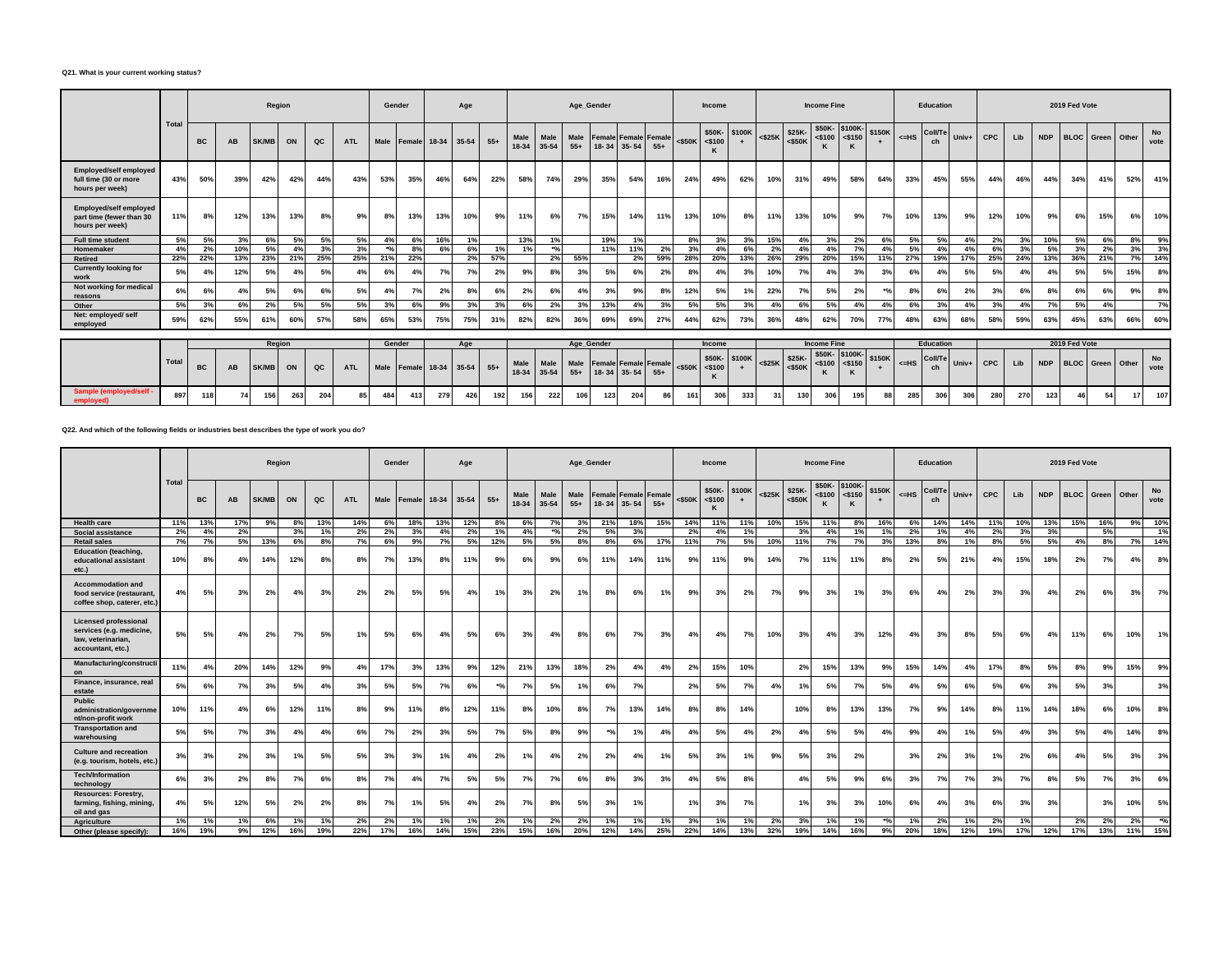#### **Q21. What is your current working status?**

|                                                                              |       |           |           |              | Region |     |            | Gender |                         |     | Age |       |               |               |               | Age Gender                  |             |       |           | Income                   |                     |                 |                                                | <b>Income Fine</b>                     |               |        |         | Education            |       |            |     |            | 2019 Fed Vote |                         |       |                   |
|------------------------------------------------------------------------------|-------|-----------|-----------|--------------|--------|-----|------------|--------|-------------------------|-----|-----|-------|---------------|---------------|---------------|-----------------------------|-------------|-------|-----------|--------------------------|---------------------|-----------------|------------------------------------------------|----------------------------------------|---------------|--------|---------|----------------------|-------|------------|-----|------------|---------------|-------------------------|-------|-------------------|
|                                                                              | Total | <b>BC</b> | <b>AB</b> | <b>SK/ME</b> | ON     | QC  | <b>ATL</b> |        | Male Female 18-34 35-54 |     |     | $55+$ | Male<br>18-34 | Male<br>35-54 | $55+$         | Male Female Female Female   | 18-34 35-54 | $55+$ |           | $<$ \$50K $<$ \$100<br>ĸ | \$50K-\$100K        | $<$ \$25 $K$    | \$25K-<br>$<$ \$50K                            | $ $ <\$100 \ <\$150                    | \$50K-\$100K- | \$150K | $<=$ HS | <b>Coll/Te</b>       | Univ+ | <b>CPC</b> | Lib | <b>NDP</b> |               | <b>BLOC</b> Green       | Other | <b>No</b><br>vote |
| <b>Employed/self employed</b><br>full time (30 or more<br>hours per week)    | 43%   | 50%       | 39%       | 42%          | 42%    | 44% | 43%        | 53%    | 35%                     | 46% | 64% | 22%   | 58%           | 74%           | 29%           | 35%                         | 54%         | 16%   | 24%       | 49%                      | 62%                 | 10%             | 31%                                            | 49%                                    | 58%           | 64%    | 33%     | 45%                  | 55%   | 44%        | 46% | 44%        | 34%           | 41%                     | 52%   | 41%               |
| <b>Employed/self employed</b><br>part time (fewer than 30<br>hours per week) | 11%   | 8%        | 12%       | 13%          | 13%    | 8%  | 9%         | 8%     | 13%                     | 13% | 10% | 9%    | 11%           | 6%            | 7%            | 15%                         | 14%         | 11%   | 13%       | 10%                      | 8%                  | 11%             | 13%                                            | 10%                                    | 9%            | 7%     | 10%     | 13%                  | 9%    | 12%        | 10% | 9%         | 6%            | 15%                     | 6%    | 10%               |
| <b>Full time student</b>                                                     | 5%    | 5%        | 3%        | 6%           | 5%     | 5%  | 5%         | 4%     | 6%                      | 16% | 1%  |       | 13%           | 1%            |               | 19%                         | 1%          |       | 8%        | 3%                       | 3%                  | 15%             | 4%                                             | 3%                                     | 2%            | 6%     | 5%      | 5%                   | 4%    | 2%         | 3%  | 10%        | 5%            | 6%                      | 8%    | 9%                |
| Homemaker                                                                    | 4%    | 2%        | 10%       | 5%           | 4%     | 3%  | 3%         | $*o/$  | 8%                      | 6%  | 6%  | 1%    | 1%            | $*o$          |               | 11%                         | 11%         | 2%    | 3%        | 4%                       | 6%                  | 2%              | 4%                                             | 4%                                     | 70/           | 4%     | 5%      | 4%                   | 4%    | 6%         | 3%  | 5%         | 3%            | 2%                      | 3%    | 3%                |
| <b>Retired</b>                                                               | 22%   | 22%       | 13%       | 23%          | 21%    | 25% | 25%        | 21%    | 22%                     |     | 2%  | 57%   |               | 2%            | 55%           |                             | 2%          | 59%   | 28%       | 20%                      | 13%                 | 26%             | 29%                                            | 20%                                    | 15%           | 11%    | 27%     | 19%                  | 17%   | 25%        | 24% | 13%        | 36%           | 21%                     | 7%    | 14%               |
| <b>Currently looking for</b><br>work                                         | 5%    | 4%        | 12%       | 5%           | 4%     | 5%  | 4%         | 6%     | 4%                      | 7%  | 7%  | 2%    | 9%            | 8%            | 3%            | 5%                          | 6%          | 2%    | 8%        | 4%                       | 3%                  | 10%             | 7%                                             | 4%                                     | 3%            | 3%     | 6%      | 4%                   | 5%    | 5%         | 4%  | 4%         | 5%            | 5%                      | 15%   | 8%                |
| Not working for medical<br>reasons                                           | 6%    | 6%        | 4%        | 5%           | 6%     | 6%  | 5%         | 4%     | 7%                      | 2%  | 8%  | 6%    | 2%            | 6%            | 4%            | 3%                          | 9%          | 8%    | 12%       | 5%                       | 1%                  | 22%             | 7%                                             | 5%                                     | 2%            | $*o$   | 8%      | 6%                   | 2%    | 3%         | 6%  | 8%         | 6%            | 6%                      | 9%    | 8%                |
| Other                                                                        | 5%    | 3%        | 6%        | 2%           | 5%     | 5%  | 5%         | 3%     | 6%                      | 9%  | 3%  | 3%    | 6%            | 2%            | 3%            | 13%                         | 4%          | 3%    | 5%        | 5%                       | 3%                  | 4%              | 6%                                             | 5%                                     | 4%            | 4%     | 6%      | 3%                   | 4%    | 3%         | 4%  | 7%         | 5%            | 4%                      |       | 7%                |
| Net: employed/self<br>employed                                               | 59%   | 62%       | 55%       | 61%          | 60%    | 57% | 58%        | 65%    | 53%                     | 75% | 75% | 31%   | 82%           | 82%           | 36%           | 69%                         | 69%         | 27%   | 44%       | 62%                      | 73%                 | 36%             | 48%                                            | 62%                                    | 70%           | 77%    | 48%     | 63%                  | 68%   | 58%        | 59% | 63%        | 45%           | 63%                     | 66%   | 60%               |
|                                                                              |       |           |           |              |        |     |            |        |                         |     |     |       |               |               |               |                             |             |       |           |                          |                     |                 |                                                |                                        |               |        |         |                      |       |            |     |            |               |                         |       |                   |
|                                                                              |       |           |           |              | Region |     |            |        | Gender                  |     | Age |       |               |               |               | Age Gender                  |             |       |           | <b>Income</b>            |                     |                 |                                                | <b>Income Fine</b>                     |               |        |         | Education            |       |            |     |            | 2019 Fed Vote |                         |       |                   |
|                                                                              | Total | <b>BC</b> | <b>AB</b> | <b>SK/MB</b> | ON     | QC  | <b>ATL</b> |        | Male Female 18-34 35-54 |     |     | $55+$ | Male<br>18-34 | Male<br>35-54 | Male<br>$55+$ | <b>Female Female Female</b> | 18-34 35-54 | $55+$ | $<$ \$50K | $<$ \$100<br>K           | \$50K-\$100K<br>$+$ |                 | $\cdot$   $\leq$ $\frac{25K}{10}$<br>$<$ \$50K | \$50K-\$100K-<br>$<$ \$100 <\$150<br>ĸ |               | \$150K | $<=$ HS | <b>Coll/Te</b><br>ch | Univ+ | <b>CPC</b> | Lib | <b>NDP</b> |               | <b>BLOC</b> Green Other |       | <b>No</b><br>vote |
| <b>Sample (employed/self</b><br>emploved)                                    | 897   | 118       | 74        | 156          | 263    | 204 | 85         | 484    | 413                     | 279 | 426 | 192   | 156           | 222           | 106           | 123                         | 204         |       | 161       | 306                      | 333                 | 31 <sup>1</sup> | 130                                            | 306                                    | 195           | 88     | 285     | 306                  | 306   | 280        | 270 | 123        |               | 54                      |       | 107               |

**Q22. And which of the following fields or industries best describes the type of work you do?**

|                                                                                                     |       | Region<br><b>SK/MB</b><br>ON<br>QC<br>ВC<br>AB<br>17%<br>9%<br>13%<br>8%<br>13%<br>2%<br>3%<br>4%<br>1%<br>7%<br>5%<br>13%<br>6%<br>8%<br>12%<br>4%<br>14%<br>8%<br>8%<br>2%<br>3%<br>5%<br>3%<br>4%<br>5%<br>2%<br>7%<br>5%<br>4%<br>20%<br>14%<br>12%<br>9%<br>4% |     |     |     |     | Gender     |      |              | Age |       |       |                   | Age Gender    |               |                                            |     |                | Income    |                                |     |           | <b>Income Fine</b>  |                                 |                      |        | <b>Education</b> |                      |       |            |     | 2019 Fed Vote |                   |     |       |                   |
|-----------------------------------------------------------------------------------------------------|-------|---------------------------------------------------------------------------------------------------------------------------------------------------------------------------------------------------------------------------------------------------------------------|-----|-----|-----|-----|------------|------|--------------|-----|-------|-------|-------------------|---------------|---------------|--------------------------------------------|-----|----------------|-----------|--------------------------------|-----|-----------|---------------------|---------------------------------|----------------------|--------|------------------|----------------------|-------|------------|-----|---------------|-------------------|-----|-------|-------------------|
|                                                                                                     | Total |                                                                                                                                                                                                                                                                     |     |     |     |     | <b>ATL</b> | Male | Female 18-34 |     | 35-54 | $55+$ | Male<br>$18 - 34$ | Male<br>35-54 | Male<br>$55+$ | <b>Female Female Female</b><br>18-34 35-54 |     | $55+$          | $<$ \$50K | \$50K-\$100K<br>$<$ \$100<br>K | $+$ | $<$ \$25K | \$25K-<br>$<$ \$50K | \$50K-<br>$<$ \$100<br>$\kappa$ | \$100K-<br>$<$ \$150 | \$150K | $H = HS$         | <b>Coll/Te</b><br>ch | Univ+ | <b>CPC</b> | Lib | <b>NDP</b>    | <b>BLOC</b> Green |     | Other | <b>No</b><br>vote |
| <b>Health care</b>                                                                                  | 11%   |                                                                                                                                                                                                                                                                     |     |     |     |     | 14%        | 6%   | 18%          | 13% | 12%   | 8%    | 6%                | 7%            | 3%            | 21%                                        | 18% | 15%            | 14%       | 11%                            | 11% | 10%       | 15%                 | 11%                             | 8%                   | 16%    | 6%               | 14%                  | 14%   |            | 10% | 13%           | 15%               | 16% | 9%    | 10%               |
| Social assistance                                                                                   | 2%    |                                                                                                                                                                                                                                                                     |     |     |     |     | 2%         | 2%   | 3%           | 4%  | 2%    | 1%    | 4%                | $^{*o}$ /     | 2%            | 5%                                         | 3%  |                | 2%        | 4%                             | 1%  |           | 3%                  | 4%                              | 1%                   | 1%     | 2%               | 1%                   | 4%    | 2%         | 3%  | 3%            |                   | 5%  |       | 1%                |
| <b>Retail sales</b>                                                                                 | 7%    |                                                                                                                                                                                                                                                                     |     |     |     |     | 7%         | 6%   | 9%           | 7%  | 5%    | 12%   | 5%                | 5%            | 8%            | 8%                                         | 6%  | 17%            | 11%       | 7%                             | 5%  | 10%       |                     | 7%                              | 7%                   | 3%     | 13%              | 8%                   | 1%    | 8%         | 5%  | 5%            | 4%                | 8%  | 7%    | 14%               |
| <b>Education (teaching,</b><br>educational assistant<br>etc.)                                       | 10%   |                                                                                                                                                                                                                                                                     |     |     |     |     | 8%         | 7%   | 13%          | 8%  | 11%   | 9%    | 6%                | 9%            | 6%            | 11%                                        | 14% | 11%            | 9%        | 11%                            | 9%  | 14%       | 7%                  | 11%                             | 11%                  | 8%     | 2%               | 5%                   | 21%   | 4%         | 15% | 18%           | 2%                | 7%  | 4%    | 8%                |
| <b>Accommodation and</b><br>food service (restaurant,<br>coffee shop, caterer, etc.)                | 4%    |                                                                                                                                                                                                                                                                     |     |     |     |     | 2%         | 2%   | 5%           | 5%  | 4%    | 1%    | 3%                | 2%            | 1%            | 8%                                         | 6%  | 1%             | 9%        | 3%                             | 2%  | 7%        | 9%                  | 3%                              | 1%                   | 3%     | 6%               | 4%                   | 2%    | 3%         | 3%  | 4%            | 2%                | 6%  | 3%    | 7%                |
| <b>Licensed professional</b><br>services (e.g. medicine,<br>law, veterinarian.<br>accountant, etc.) | 5%    |                                                                                                                                                                                                                                                                     |     |     |     |     | 1%         | 5%   | 6%           | 4%  | 5%    | 6%    | 3%                | 4%            | 8%            | 6%                                         | 7%  | 3%             | 4%        | 4%                             | 7%  | 10%       | 3%                  | 4%                              | 3%                   | 12%    | 4%               | 3%                   | 8%    | 5%         | 6%  | 4%            | 11%               | 6%  | 10%   | 1%                |
| Manufacturing/constructi<br>on                                                                      | 11%   |                                                                                                                                                                                                                                                                     |     |     |     |     | 4%         | 17%  | 3%           | 13% | 9%    | 12%   | 21%               | 13%           | 18%           | 2%                                         | 4%  | 4 <sup>°</sup> | 2%        | 15%                            | 10% |           | 2%                  | 15%                             | 13%                  | 9%     | 15%              | 14%                  | 4%    | 17%        | 8%  | 5%            | 8%                | 9%  | 15%   | 9%                |
| Finance, insurance, real<br>estate                                                                  | 5%    | 6%                                                                                                                                                                                                                                                                  | 7%  | 3%  | 5%  | 4%  | 3%         | 5%   | 5%           | 7%  | 6%    | $*o/$ | 7%                | 5%            | 1%            | 6%                                         | 7%  |                | 2%        | 5%                             | 7%  | 4%        | 1%                  | 5%                              | 7%                   | 5%     | 4%               | 5%                   | 6%    | 5%         | 6%  | 3%            | 5%                | 3%  |       | 3%                |
| Public<br>administration/governme<br>nt/non-profit work                                             | 10%   | 11%                                                                                                                                                                                                                                                                 | 4%  | 6%  | 12% | 11% | 8%         | 9%   | 11%          | 8%  | 12%   | 11%   | 8%                | 10%           | 8%            | 7%                                         | 13% | 14%            | 8%        | 8%                             | 14% |           | 10%                 | 8%                              | 13%                  | 13%    | 7%               | 9%                   | 14%   | 8%         | 11% | 14%           | 18%               | 6%  | 10%   | 8%                |
| <b>Transportation and</b><br>warehousing                                                            | 5%    | 5%                                                                                                                                                                                                                                                                  | 7%  | 3%  | 4%  | 4%  | 6%         | 7%   | 2%           | 3%  | 5%    | 7%    | 5%                | 8%            | 9%            | $\frac{1}{2}$                              |     | 4%             | 4%        | 5%                             | 4%  | 2%        | 4%                  | 5%                              | 5%                   | 4%     | 9%               | 4%                   | 1%    | 5%         | 4%  | 3%            | 5%                | 4%  | 14%   | 8%                |
| <b>Culture and recreation</b><br>(e.g. tourism, hotels, etc.)                                       | 3%    | 3%                                                                                                                                                                                                                                                                  | 2%  | 3%  | 1%  | 5%  | 5%         | 3%   | 3%           | 1%  | 4%    | 2%    | 1%                | 4%            | 2%            | 2%                                         | 4%  | 1%             | 5%        | 3%                             | 1%  | 9%        | 5%                  | 3%                              | 2%                   |        | 3%               | 2%                   | 3%    | 1%         | 2%  | 6%            | 4%                | 5%  | 3%    | 3%                |
| <b>Tech/Information</b><br>technology                                                               | 6%    | 3%                                                                                                                                                                                                                                                                  | 2%  | 8%  | 7%  | 6%  | 8%         | 7%   | 4%           | 7%  | 5%    | 5%    | 7%                | 7%            | 6%            | 8%                                         | 3%  | 3%             | 4%        | 5%                             | 8%  |           | 4%                  | 5%                              | 9%                   | 6%     | 3%               | 7%                   | 7%    | 3%         | 7%  | 8%            | 5%                | 7%  | 3%    | 6%                |
| <b>Resources: Forestry,</b><br>farming, fishing, mining,<br>oil and gas                             | 4%    | 5%                                                                                                                                                                                                                                                                  | 12% | 5%  | 2%  | 2%  | 8%         | 7%   | 1%           | 5%  | 4%    | 2%    | 7%                | 8%            | 5%            | 3%                                         | 1%  |                | 1%        | 3%                             | 7%  |           | 1%                  | 3%                              | 3%                   | 10%    | 6%               | 4%                   | 3%    | 6%         | 3%  | 3%            |                   | 3%  | 10%   | 5%                |
| <b>Agriculture</b>                                                                                  | 1%    | 1%                                                                                                                                                                                                                                                                  | 1%  | 6%  | 1%  | 1%  | 2%         | 2%   | 1%           | 1%  | 1%    | 2%    | 1%                | 2%            | 2%            | 1%                                         | 1%  | 1%             | 3%        | 1%                             | 1%  | 2%        | 3%                  | 1%                              | 1%                   | $*$ %  | 1%               | 2%                   | 1%    | 2%         | 1%  |               | 2%                | 2%  | 2%    | $^{*o}$ /0        |
| Other (please specify):                                                                             | 16%   | 19%                                                                                                                                                                                                                                                                 | 9%  | 12% | 16% | 19% | 22%        | 17%  | 16%          | 14% | 15%   | 23%   | 15%               | 16%           | 20%           | 12%                                        | 14% | 25%            | 22%       | 14%                            | 13% | 32%       | 19%                 | 14%                             | 16%                  | 9%     | 20%              | 18%                  | 12%   | 19%        | 17% | 12%           | 17%               | 13% | 11%   | 15%               |